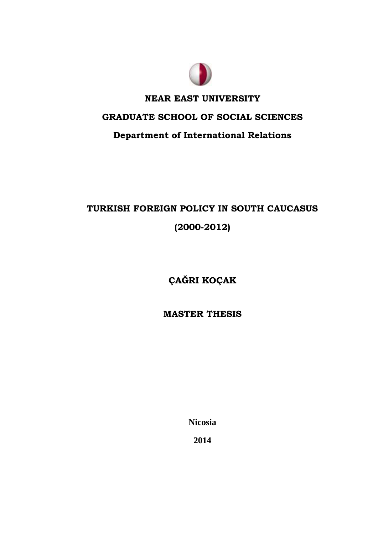

# **NEAR EAST UNIVERSITY**

# **GRADUATE SCHOOL OF SOCIAL SCIENCES**

# **Department of International Relations**

# **TURKISH FOREIGN POLICY IN SOUTH CAUCASUS (2000-2012)**

**ÇAĞRI KOÇAK**

**MASTER THESIS**

**Nicosia**

**2014**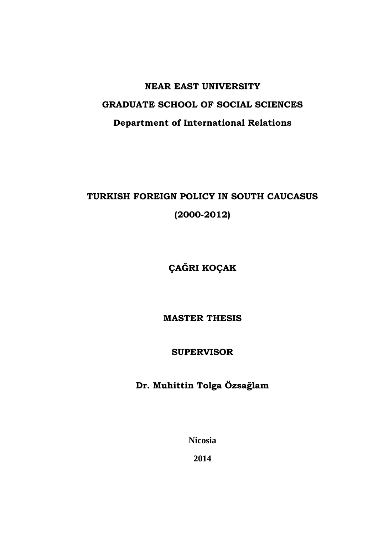# **NEAR EAST UNIVERSITY GRADUATE SCHOOL OF SOCIAL SCIENCES Department of International Relations**

# **TURKISH FOREIGN POLICY IN SOUTH CAUCASUS (2000-2012)**

**ÇAĞRI KOÇAK**

**MASTER THESIS**

**SUPERVISOR**

**Dr. Muhittin Tolga Özsağlam**

**Nicosia**

**2014**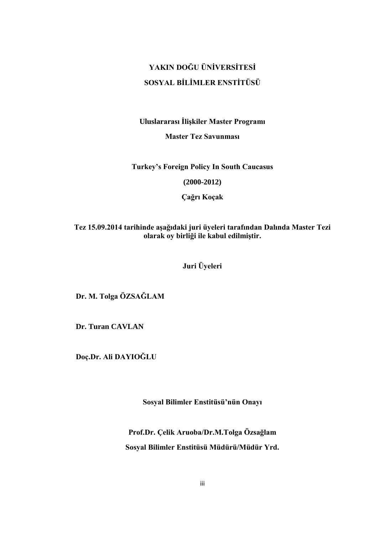# **YAKIN DOĞU ÜNİVERSİTESİ SOSYAL BİLİMLER ENSTİTÜSÜ**

### **Uluslararası Ġlişkiler Master Programı**

**Master Tez Savunması**

**Turkey's Foreign Policy In South Caucasus**

**(2000-2012)**

**Çağrı Koçak**

**Tez 15.09.2014 tarihinde aşağıdaki juri üyeleri tarafından Dalında Master Tezi olarak oy birliği ile kabul edilmiştir.**

**Juri Üyeleri**

 **Dr. M. Tolga ÖZSAĞLAM** 

 **Dr. Turan CAVLAN**

 **Doç.Dr. Ali DAYIOĞLU**

**Sosyal Bilimler Enstitüsü'nün Onayı**

**Prof.Dr. Çelik Aruoba/Dr.M.Tolga Özsağlam Sosyal Bilimler Enstitüsü Müdürü/Müdür Yrd.**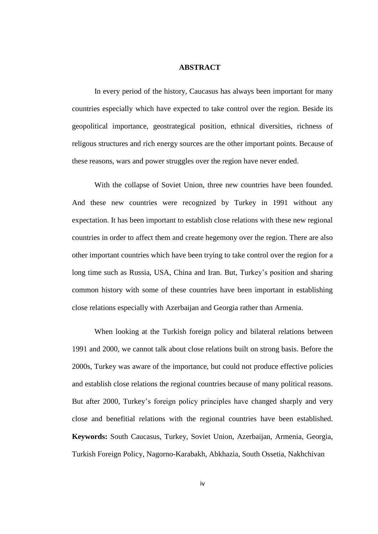#### **ABSTRACT**

In every period of the history, Caucasus has always been important for many countries especially which have expected to take control over the region. Beside its geopolitical importance, geostrategical position, ethnical diversities, richness of religous structures and rich energy sources are the other important points. Because of these reasons, wars and power struggles over the region have never ended.

With the collapse of Soviet Union, three new countries have been founded. And these new countries were recognized by Turkey in 1991 without any expectation. It has been important to establish close relations with these new regional countries in order to affect them and create hegemony over the region. There are also other important countries which have been trying to take control over the region for a long time such as Russia, USA, China and Iran. But, Turkey's position and sharing common history with some of these countries have been important in establishing close relations especially with Azerbaijan and Georgia rather than Armenia.

When looking at the Turkish foreign policy and bilateral relations between 1991 and 2000, we cannot talk about close relations built on strong basis. Before the 2000s, Turkey was aware of the importance, but could not produce effective policies and establish close relations the regional countries because of many political reasons. But after 2000, Turkey's foreign policy principles have changed sharply and very close and benefitial relations with the regional countries have been established. **Keywords:** South Caucasus, Turkey, Soviet Union, Azerbaijan, Armenia, Georgia, Turkish Foreign Policy, Nagorno-Karabakh, Abkhazia, South Ossetia, Nakhchivan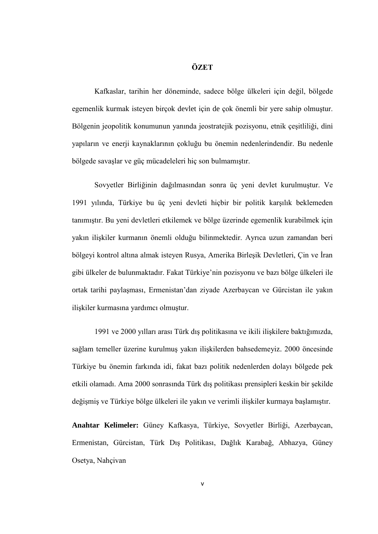### **ÖZET**

Kafkaslar, tarihin her döneminde, sadece bölge ülkeleri için değil, bölgede egemenlik kurmak isteyen birçok devlet için de çok önemli bir yere sahip olmuştur. Bölgenin jeopolitik konumunun yanında jeostratejik pozisyonu, etnik çeşitliliği, dini yapıların ve enerji kaynaklarının çokluğu bu önemin nedenlerindendir. Bu nedenle bölgede savaşlar ve güç mücadeleleri hiç son bulmamıştır.

Sovyetler Birliğinin dağılmasından sonra üç yeni devlet kurulmuştur. Ve 1991 yılında, Türkiye bu üç yeni devleti hiçbir bir politik karşılık beklemeden tanımıştır. Bu yeni devletleri etkilemek ve bölge üzerinde egemenlik kurabilmek için yakın iliĢkiler kurmanın önemli olduğu bilinmektedir. Ayrıca uzun zamandan beri bölgeyi kontrol altına almak isteyen Rusya, Amerika Birleşik Devletleri, Çin ve İran gibi ülkeler de bulunmaktadır. Fakat Türkiye'nin pozisyonu ve bazı bölge ülkeleri ile ortak tarihi paylaĢması, Ermenistan'dan ziyade Azerbaycan ve Gürcistan ile yakın ilişkiler kurmasına yardımcı olmuştur.

1991 ve 2000 yılları arası Türk dış politikasına ve ikili ilişkilere baktığımızda, sağlam temeller üzerine kurulmuş yakın ilişkilerden bahsedemeyiz. 2000 öncesinde Türkiye bu önemin farkında idi, fakat bazı politik nedenlerden dolayı bölgede pek etkili olamadı. Ama 2000 sonrasında Türk dış politikası prensipleri keskin bir şekilde değişmiş ve Türkiye bölge ülkeleri ile yakın ve verimli ilişkiler kurmaya başlamıştır.

**Anahtar Kelimeler:** Güney Kafkasya, Türkiye, Sovyetler Birliği, Azerbaycan, Ermenistan, Gürcistan, Türk DıĢ Politikası, Dağlık Karabağ, Abhazya, Güney Osetya, Nahçivan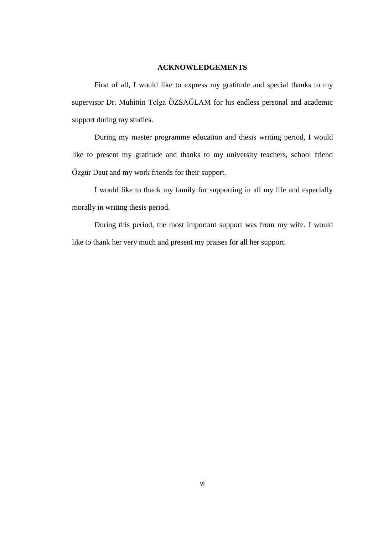### **ACKNOWLEDGEMENTS**

First of all, I would like to express my gratitude and special thanks to my supervisor Dr. Muhittin Tolga ÖZSAĞLAM for his endless personal and academic support during my studies.

During my master programme education and thesis writing period, I would like to present my gratitude and thanks to my university teachers, school friend Özgür Daut and my work friends for their support.

I would like to thank my family for supporting in all my life and especially morally in writing thesis period.

During this period, the most important support was from my wife. I would like to thank her very much and present my praises for all her support.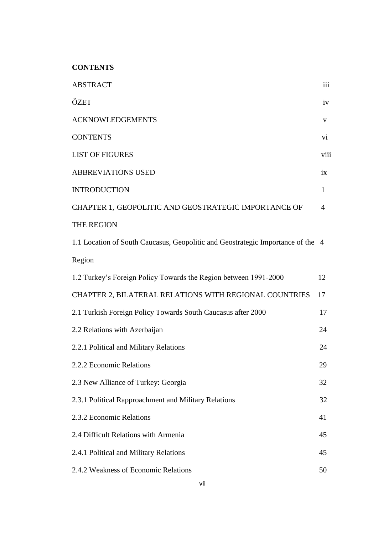**CONTENTS** 

| <b>ABSTRACT</b>                                                                 | iii            |
|---------------------------------------------------------------------------------|----------------|
| ÖZET                                                                            | iv             |
| <b>ACKNOWLEDGEMENTS</b>                                                         | V              |
| <b>CONTENTS</b>                                                                 | $\mathbf{vi}$  |
| <b>LIST OF FIGURES</b>                                                          | viii           |
| <b>ABBREVIATIONS USED</b>                                                       | ix             |
| <b>INTRODUCTION</b>                                                             | $\mathbf{1}$   |
| CHAPTER 1, GEOPOLITIC AND GEOSTRATEGIC IMPORTANCE OF                            | $\overline{4}$ |
| THE REGION                                                                      |                |
| 1.1 Location of South Caucasus, Geopolitic and Geostrategic Importance of the 4 |                |
| Region                                                                          |                |
| 1.2 Turkey's Foreign Policy Towards the Region between 1991-2000                | 12             |
| CHAPTER 2, BILATERAL RELATIONS WITH REGIONAL COUNTRIES                          | 17             |
| 2.1 Turkish Foreign Policy Towards South Caucasus after 2000                    | 17             |
| 2.2 Relations with Azerbaijan                                                   | 24             |
| 2.2.1 Political and Military Relations                                          | 24             |
| 2.2.2 Economic Relations                                                        | 29             |
| 2.3 New Alliance of Turkey: Georgia                                             | 32             |
| 2.3.1 Political Rapproachment and Military Relations                            | 32             |
| 2.3.2 Economic Relations                                                        | 41             |
| 2.4 Difficult Relations with Armenia                                            | 45             |
| 2.4.1 Political and Military Relations                                          | 45             |
| 2.4.2 Weakness of Economic Relations                                            | 50             |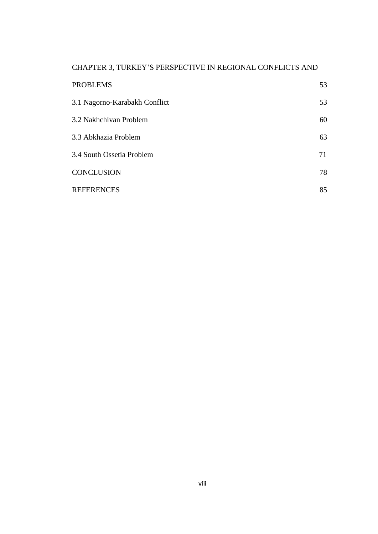## CHAPTER 3, TURKEY'S PERSPECTIVE IN REGIONAL CONFLICTS AND

| <b>PROBLEMS</b>               | 53 |
|-------------------------------|----|
| 3.1 Nagorno-Karabakh Conflict | 53 |
| 3.2 Nakhchivan Problem        | 60 |
| 3.3 Abkhazia Problem          | 63 |
| 3.4 South Ossetia Problem     | 71 |
| <b>CONCLUSION</b>             | 78 |
| <b>REFERENCES</b>             | 85 |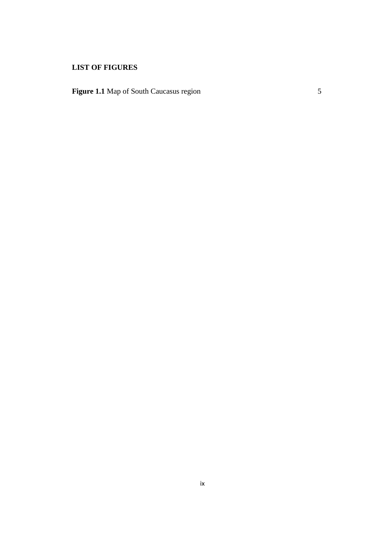## **LIST OF FIGURES**

**Figure 1.1** Map of South Caucasus region 5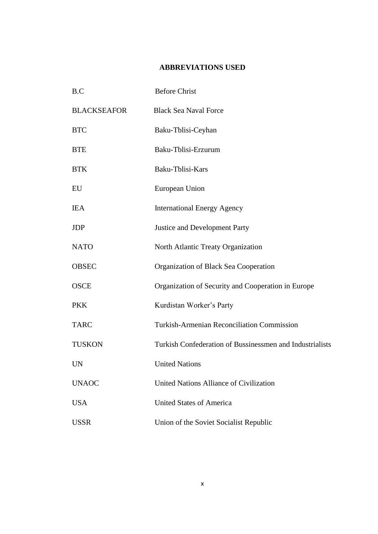### **ABBREVIATIONS USED**

| B.C                | <b>Before Christ</b>                                     |
|--------------------|----------------------------------------------------------|
| <b>BLACKSEAFOR</b> | <b>Black Sea Naval Force</b>                             |
| <b>BTC</b>         | Baku-Tblisi-Ceyhan                                       |
| <b>BTE</b>         | Baku-Tblisi-Erzurum                                      |
| <b>BTK</b>         | Baku-Tblisi-Kars                                         |
| EU                 | European Union                                           |
| <b>IEA</b>         | <b>International Energy Agency</b>                       |
| <b>JDP</b>         | <b>Justice and Development Party</b>                     |
| <b>NATO</b>        | North Atlantic Treaty Organization                       |
| <b>OBSEC</b>       | Organization of Black Sea Cooperation                    |
| <b>OSCE</b>        | Organization of Security and Cooperation in Europe       |
| <b>PKK</b>         | Kurdistan Worker's Party                                 |
| <b>TARC</b>        | <b>Turkish-Armenian Reconciliation Commission</b>        |
| <b>TUSKON</b>      | Turkish Confederation of Bussinessmen and Industrialists |
| <b>UN</b>          | <b>United Nations</b>                                    |
| <b>UNAOC</b>       | United Nations Alliance of Civilization                  |
| <b>USA</b>         | <b>United States of America</b>                          |
| <b>USSR</b>        | Union of the Soviet Socialist Republic                   |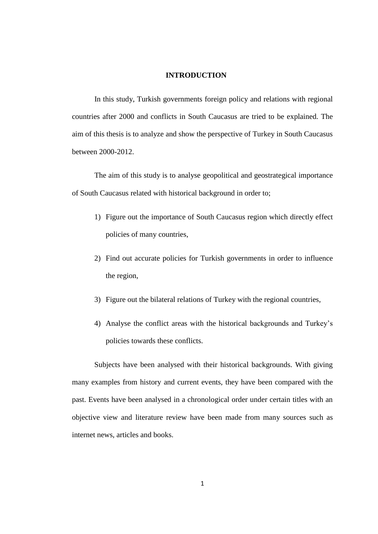#### **INTRODUCTION**

In this study, Turkish governments foreign policy and relations with regional countries after 2000 and conflicts in South Caucasus are tried to be explained. The aim of this thesis is to analyze and show the perspective of Turkey in South Caucasus between 2000-2012.

The aim of this study is to analyse geopolitical and geostrategical importance of South Caucasus related with historical background in order to;

- 1) Figure out the importance of South Caucasus region which directly effect policies of many countries,
- 2) Find out accurate policies for Turkish governments in order to influence the region,
- 3) Figure out the bilateral relations of Turkey with the regional countries,
- 4) Analyse the conflict areas with the historical backgrounds and Turkey's policies towards these conflicts.

Subjects have been analysed with their historical backgrounds. With giving many examples from history and current events, they have been compared with the past. Events have been analysed in a chronological order under certain titles with an objective view and literature review have been made from many sources such as internet news, articles and books.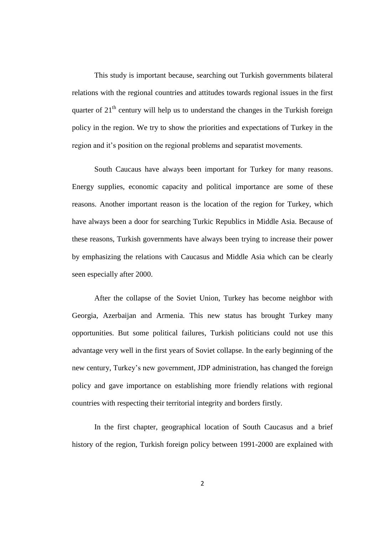This study is important because, searching out Turkish governments bilateral relations with the regional countries and attitudes towards regional issues in the first quarter of  $21<sup>th</sup>$  century will help us to understand the changes in the Turkish foreign policy in the region. We try to show the priorities and expectations of Turkey in the region and it's position on the regional problems and separatist movements.

South Caucaus have always been important for Turkey for many reasons. Energy supplies, economic capacity and political importance are some of these reasons. Another important reason is the location of the region for Turkey, which have always been a door for searching Turkic Republics in Middle Asia. Because of these reasons, Turkish governments have always been trying to increase their power by emphasizing the relations with Caucasus and Middle Asia which can be clearly seen especially after 2000.

After the collapse of the Soviet Union, Turkey has become neighbor with Georgia, Azerbaijan and Armenia. This new status has brought Turkey many opportunities. But some political failures, Turkish politicians could not use this advantage very well in the first years of Soviet collapse. In the early beginning of the new century, Turkey's new government, JDP administration, has changed the foreign policy and gave importance on establishing more friendly relations with regional countries with respecting their territorial integrity and borders firstly.

In the first chapter, geographical location of South Caucasus and a brief history of the region, Turkish foreign policy between 1991-2000 are explained with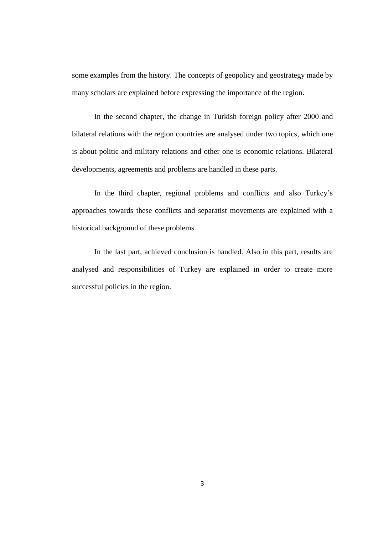some examples from the history. The concepts of geopolicy and geostrategy made by many scholars are explained before expressing the importance of the region.

In the second chapter, the change in Turkish foreign policy after 2000 and bilateral relations with the region countries are analysed under two topics, which one is about politic and military relations and other one is economic relations. Bilateral developments, agreements and problems are handled in these parts.

In the third chapter, regional problems and conflicts and also Turkey's approaches towards these conflicts and separatist movements are explained with a historical background of these problems.

In the last part, achieved conclusion is handled. Also in this part, results are analysed and responsibilities of Turkey are explained in order to create more successful policies in the region.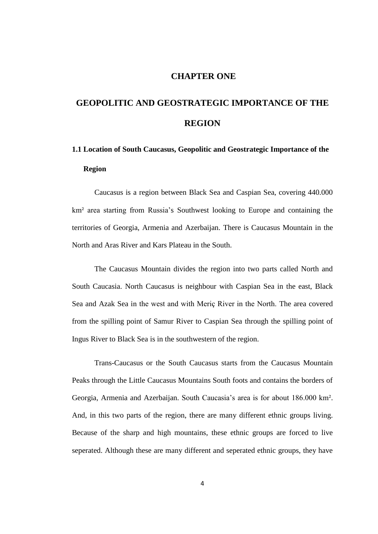### **CHAPTER ONE**

# **GEOPOLITIC AND GEOSTRATEGIC IMPORTANCE OF THE REGION**

# **1.1 Location of South Caucasus, Geopolitic and Geostrategic Importance of the Region**

Caucasus is a region between Black Sea and Caspian Sea, covering 440.000 km² area starting from Russia's Southwest looking to Europe and containing the territories of Georgia, Armenia and Azerbaijan. There is Caucasus Mountain in the North and Aras River and Kars Plateau in the South.

The Caucasus Mountain divides the region into two parts called North and South Caucasia. North Caucasus is neighbour with Caspian Sea in the east, Black Sea and Azak Sea in the west and with Meriç River in the North. The area covered from the spilling point of Samur River to Caspian Sea through the spilling point of Ingus River to Black Sea is in the southwestern of the region.

Trans-Caucasus or the South Caucasus starts from the Caucasus Mountain Peaks through the Little Caucasus Mountains South foots and contains the borders of Georgia, Armenia and Azerbaijan. South Caucasia's area is for about 186.000 km². And, in this two parts of the region, there are many different ethnic groups living. Because of the sharp and high mountains, these ethnic groups are forced to live seperated. Although these are many different and seperated ethnic groups, they have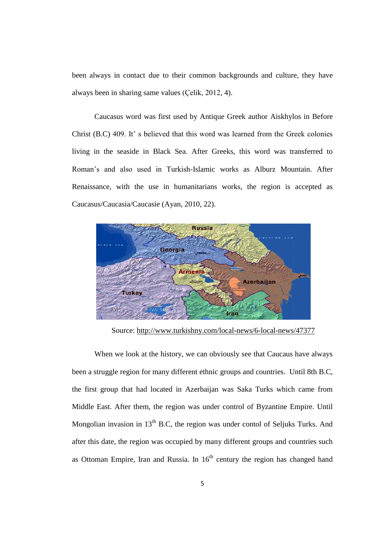been always in contact due to their common backgrounds and culture, they have always been in sharing same values (Çelik, 2012, 4).

Caucasus word was first used by Antique Greek author Aiskhylos in Before Christ (B.C) 409. It' s believed that this word was learned from the Greek colonies living in the seaside in Black Sea. After Greeks, this word was transferred to Roman's and also used in Turkish-Islamic works as Alburz Mountain. After Renaissance, with the use in humanitarians works, the region is accepted as Caucasus/Caucasia/Caucasie (Ayan, 2010, 22).



Source:<http://www.turkishny.com/local-news/6-local-news/47377>

When we look at the history, we can obviously see that Caucaus have always been a struggle region for many different ethnic groups and countries. Until 8th B.C, the first group that had located in Azerbaijan was Saka Turks which came from Middle East. After them, the region was under control of Byzantine Empire. Until Mongolian invasion in  $13<sup>th</sup>$  B.C, the region was under contol of Seljuks Turks. And after this date, the region was occupied by many different groups and countries such as Ottoman Empire, Iran and Russia. In  $16<sup>th</sup>$  century the region has changed hand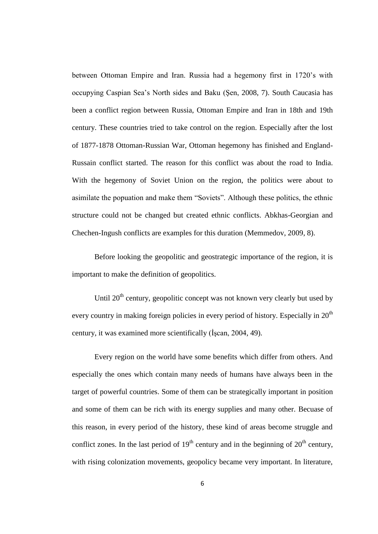between Ottoman Empire and Iran. Russia had a hegemony first in 1720's with occupying Caspian Sea's North sides and Baku (Sen, 2008, 7). South Caucasia has been a conflict region between Russia, Ottoman Empire and Iran in 18th and 19th century. These countries tried to take control on the region. Especially after the lost of 1877-1878 Ottoman-Russian War, Ottoman hegemony has finished and England-Russain conflict started. The reason for this conflict was about the road to India. With the hegemony of Soviet Union on the region, the politics were about to asimilate the popuation and make them "Soviets". Although these politics, the ethnic structure could not be changed but created ethnic conflicts. Abkhas-Georgian and Chechen-Ingush conflicts are examples for this duration (Memmedov, 2009, 8).

Before looking the geopolitic and geostrategic importance of the region, it is important to make the definition of geopolitics.

Until  $20<sup>th</sup>$  century, geopolitic concept was not known very clearly but used by every country in making foreign policies in every period of history. Especially in  $20<sup>th</sup>$ century, it was examined more scientifically (Iscan, 2004, 49).

Every region on the world have some benefits which differ from others. And especially the ones which contain many needs of humans have always been in the target of powerful countries. Some of them can be strategically important in position and some of them can be rich with its energy supplies and many other. Becuase of this reason, in every period of the history, these kind of areas become struggle and conflict zones. In the last period of  $19<sup>th</sup>$  century and in the beginning of  $20<sup>th</sup>$  century, with rising colonization movements, geopolicy became very important. In literature,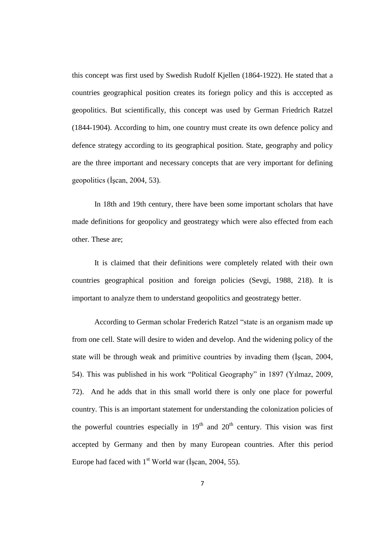this concept was first used by Swedish Rudolf Kjellen (1864-1922). He stated that a countries geographical position creates its foriegn policy and this is acccepted as geopolitics. But scientifically, this concept was used by German Friedrich Ratzel (1844-1904). According to him, one country must create its own defence policy and defence strategy according to its geographical position. State, geography and policy are the three important and necessary concepts that are very important for defining geopolitics ( $\hat{I}$ scan, 2004, 53).

In 18th and 19th century, there have been some important scholars that have made definitions for geopolicy and geostrategy which were also effected from each other. These are;

It is claimed that their definitions were completely related with their own countries geographical position and foreign policies (Sevgi, 1988, 218). It is important to analyze them to understand geopolitics and geostrategy better.

According to German scholar Frederich Ratzel "state is an organism made up from one cell. State will desire to widen and develop. And the widening policy of the state will be through weak and primitive countries by invading them (Iscan, 2004, 54). This was published in his work "Political Geography" in 1897 (Yılmaz, 2009, 72). And he adds that in this small world there is only one place for powerful country. This is an important statement for understanding the colonization policies of the powerful countries especially in  $19<sup>th</sup>$  and  $20<sup>th</sup>$  century. This vision was first accepted by Germany and then by many European countries. After this period Europe had faced with  $1<sup>st</sup>$  World war (İscan, 2004, 55).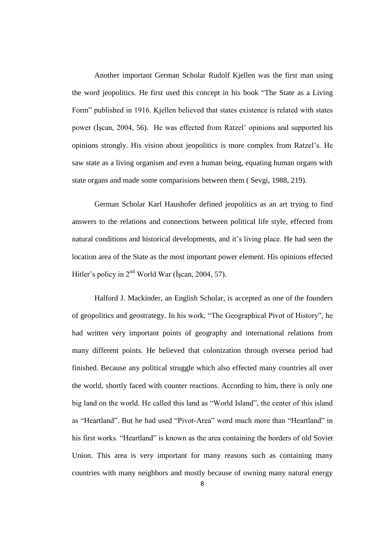Another important German Scholar Rudolf Kjellen was the first man using the word jeopolitics. He first used this concept in his book "The State as a Living Form" published in 1916. Kjellen believed that states existence is related with states power (ĠĢcan, 2004, 56). He was effected from Ratzel' opinions and supported his opinions strongly. His vision about jeopolitics is more complex from Ratzel's. He saw state as a living organism and even a human being, equating human organs with state organs and made some comparisions between them ( Sevgi, 1988, 219).

German Scholar Karl Haushofer defined jeopolitics as an art trying to find answers to the relations and connections between political life style, effected from natural conditions and historical developments, and it's living place. He had seen the location area of the State as the most important power element. His opinions effected Hitler's policy in  $2<sup>nd</sup>$  World War (İscan, 2004, 57).

Halford J. Mackinder, an English Scholar, is accepted as one of the founders of geopolitics and geostrategy. In his work, "The Geographical Pivot of History", he had written very important points of geography and international relations from many different points. He believed that colonization through oversea period had finished. Because any political struggle which also effected many countries all over the world, shortly faced with counter reactions. According to him, there is only one big land on the world. He called this land as "World Island", the center of this island as "Heartland". But he had used "Pivot-Area" word much more than "Heartland" in his first works. "Heartland" is known as the area containing the borders of old Soviet Union. This area is very important for many reasons such as containing many countries with many neighbors and mostly because of owning many natural energy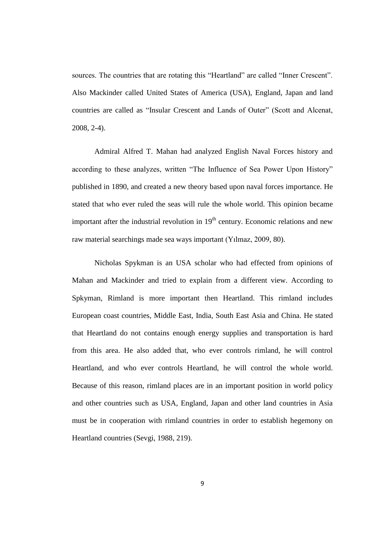sources. The countries that are rotating this "Heartland" are called "Inner Crescent". Also Mackinder called United States of America (USA), England, Japan and land countries are called as "Insular Crescent and Lands of Outer" (Scott and Alcenat, 2008, 2-4).

Admiral Alfred T. Mahan had analyzed English Naval Forces history and according to these analyzes, written "The Influence of Sea Power Upon History" published in 1890, and created a new theory based upon naval forces importance. He stated that who ever ruled the seas will rule the whole world. This opinion became important after the industrial revolution in  $19<sup>th</sup>$  century. Economic relations and new raw material searchings made sea ways important (Yılmaz, 2009, 80).

Nicholas Spykman is an USA scholar who had effected from opinions of Mahan and Mackinder and tried to explain from a different view. According to Spkyman, Rimland is more important then Heartland. This rimland includes European coast countries, Middle East, India, South East Asia and China. He stated that Heartland do not contains enough energy supplies and transportation is hard from this area. He also added that, who ever controls rimland, he will control Heartland, and who ever controls Heartland, he will control the whole world. Because of this reason, rimland places are in an important position in world policy and other countries such as USA, England, Japan and other land countries in Asia must be in cooperation with rimland countries in order to establish hegemony on Heartland countries (Sevgi, 1988, 219).

9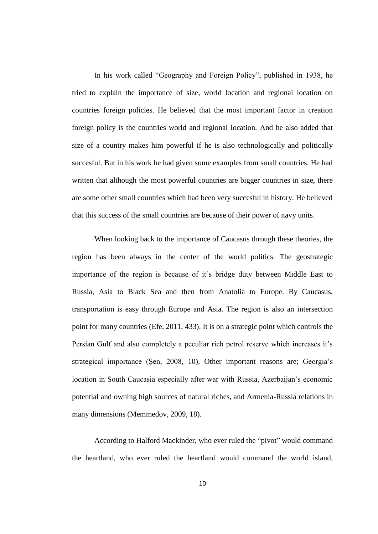In his work called "Geography and Foreign Policy", published in 1938, he tried to explain the importance of size, world location and regional location on countries foreign policies. He believed that the most important factor in creation foreign policy is the countries world and regional location. And he also added that size of a country makes him powerful if he is also technologically and politically succesful. But in his work he had given some examples from small countries. He had written that although the most powerful countries are bigger countries in size, there are some other small countries which had been very succesful in history. He believed that this success of the small countries are because of their power of navy units.

When looking back to the importance of Caucasus through these theories, the region has been always in the center of the world politics. The geostrategic importance of the region is because of it's bridge duty between Middle East to Russia, Asia to Black Sea and then from Anatolia to Europe. By Caucasus, transportation is easy through Europe and Asia. The region is also an intersection point for many countries (Efe, 2011, 433). It is on a strategic point which controls the Persian Gulf and also completely a peculiar rich petrol reserve which increases it's strategical importance (Şen, 2008, 10). Other important reasons are; Georgia's location in South Caucasia especially after war with Russia, Azerbaijan's economic potential and owning high sources of natural riches, and Armenia-Russia relations in many dimensions (Memmedov, 2009, 18).

According to Halford Mackinder, who ever ruled the "pivot" would command the heartland, who ever ruled the heartland would command the world island,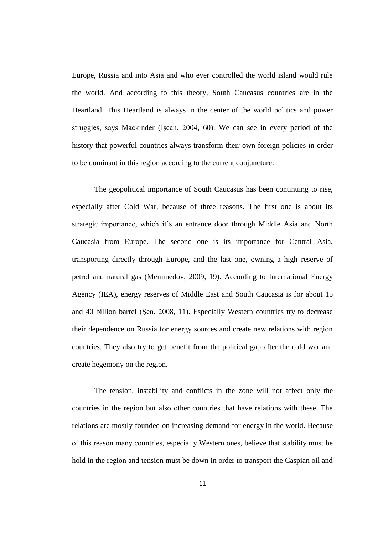Europe, Russia and into Asia and who ever controlled the world island would rule the world. And according to this theory, South Caucasus countries are in the Heartland. This Heartland is always in the center of the world politics and power struggles, says Mackinder (Iscan, 2004, 60). We can see in every period of the history that powerful countries always transform their own foreign policies in order to be dominant in this region according to the current conjuncture.

The geopolitical importance of South Caucasus has been continuing to rise, especially after Cold War, because of three reasons. The first one is about its strategic importance, which it's an entrance door through Middle Asia and North Caucasia from Europe. The second one is its importance for Central Asia, transporting directly through Europe, and the last one, owning a high reserve of petrol and natural gas (Memmedov, 2009, 19). According to International Energy Agency (IEA), energy reserves of Middle East and South Caucasia is for about 15 and 40 billion barrel (ġen, 2008, 11). Especially Western countries try to decrease their dependence on Russia for energy sources and create new relations with region countries. They also try to get benefit from the political gap after the cold war and create hegemony on the region.

The tension, instability and conflicts in the zone will not affect only the countries in the region but also other countries that have relations with these. The relations are mostly founded on increasing demand for energy in the world. Because of this reason many countries, especially Western ones, believe that stability must be hold in the region and tension must be down in order to transport the Caspian oil and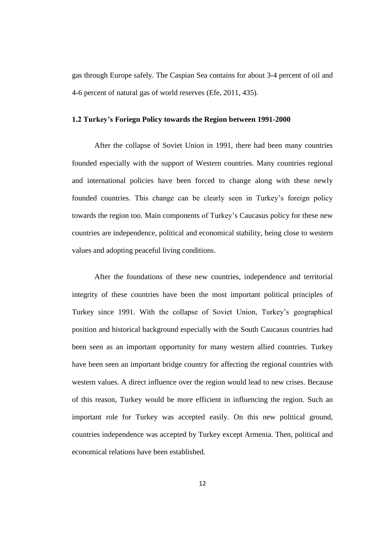gas through Europe safely. The Caspian Sea contains for about 3-4 percent of oil and 4-6 percent of natural gas of world reserves (Efe, 2011, 435).

#### **1.2 Turkey's Foriegn Policy towards the Region between 1991-2000**

After the collapse of Soviet Union in 1991, there had been many countries founded especially with the support of Western countries. Many countries regional and international policies have been forced to change along with these newly founded countries. This change can be clearly seen in Turkey's foreign policy towards the region too. Main components of Turkey's Caucasus policy for these new countries are independence, political and economical stability, being close to western values and adopting peaceful living conditions.

After the foundations of these new countries, independence and territorial integrity of these countries have been the most important political principles of Turkey since 1991. With the collapse of Soviet Union, Turkey's geographical position and historical background especially with the South Caucasus countries had been seen as an important opportunity for many western allied countries. Turkey have been seen an important bridge country for affecting the regional countries with western values. A direct influence over the region would lead to new crises. Because of this reason, Turkey would be more efficient in influencing the region. Such an important role for Turkey was accepted easily. On this new political ground, countries independence was accepted by Turkey except Armenia. Then, political and economical relations have been established.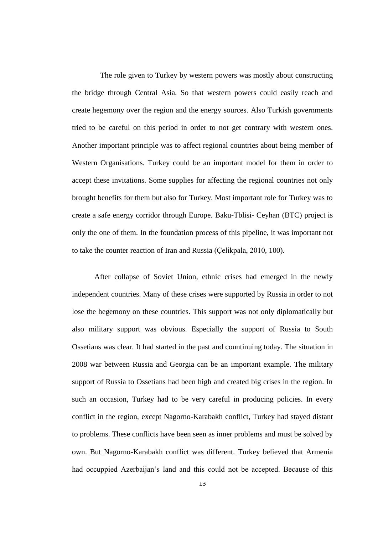The role given to Turkey by western powers was mostly about constructing the bridge through Central Asia. So that western powers could easily reach and create hegemony over the region and the energy sources. Also Turkish governments tried to be careful on this period in order to not get contrary with western ones. Another important principle was to affect regional countries about being member of Western Organisations. Turkey could be an important model for them in order to accept these invitations. Some supplies for affecting the regional countries not only brought benefits for them but also for Turkey. Most important role for Turkey was to create a safe energy corridor through Europe. Baku-Tblisi- Ceyhan (BTC) project is only the one of them. In the foundation process of this pipeline, it was important not to take the counter reaction of Iran and Russia (Çelikpala, 2010, 100).

After collapse of Soviet Union, ethnic crises had emerged in the newly independent countries. Many of these crises were supported by Russia in order to not lose the hegemony on these countries. This support was not only diplomatically but also military support was obvious. Especially the support of Russia to South Ossetians was clear. It had started in the past and countinuing today. The situation in 2008 war between Russia and Georgia can be an important example. The military support of Russia to Ossetians had been high and created big crises in the region. In such an occasion, Turkey had to be very careful in producing policies. In every conflict in the region, except Nagorno-Karabakh conflict, Turkey had stayed distant to problems. These conflicts have been seen as inner problems and must be solved by own. But Nagorno-Karabakh conflict was different. Turkey believed that Armenia had occuppied Azerbaijan's land and this could not be accepted. Because of this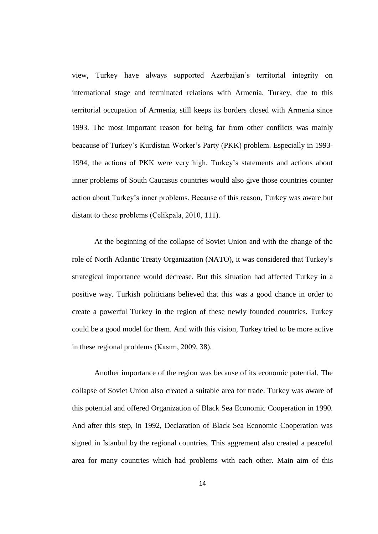view, Turkey have always supported Azerbaijan's territorial integrity on international stage and terminated relations with Armenia. Turkey, due to this territorial occupation of Armenia, still keeps its borders closed with Armenia since 1993. The most important reason for being far from other conflicts was mainly beacause of Turkey's Kurdistan Worker's Party (PKK) problem. Especially in 1993- 1994, the actions of PKK were very high. Turkey's statements and actions about inner problems of South Caucasus countries would also give those countries counter action about Turkey's inner problems. Because of this reason, Turkey was aware but distant to these problems (Çelikpala, 2010, 111).

At the beginning of the collapse of Soviet Union and with the change of the role of North Atlantic Treaty Organization (NATO), it was considered that Turkey's strategical importance would decrease. But this situation had affected Turkey in a positive way. Turkish politicians believed that this was a good chance in order to create a powerful Turkey in the region of these newly founded countries. Turkey could be a good model for them. And with this vision, Turkey tried to be more active in these regional problems (Kasım, 2009, 38).

Another importance of the region was because of its economic potential. The collapse of Soviet Union also created a suitable area for trade. Turkey was aware of this potential and offered Organization of Black Sea Economic Cooperation in 1990. And after this step, in 1992, Declaration of Black Sea Economic Cooperation was signed in Istanbul by the regional countries. This aggrement also created a peaceful area for many countries which had problems with each other. Main aim of this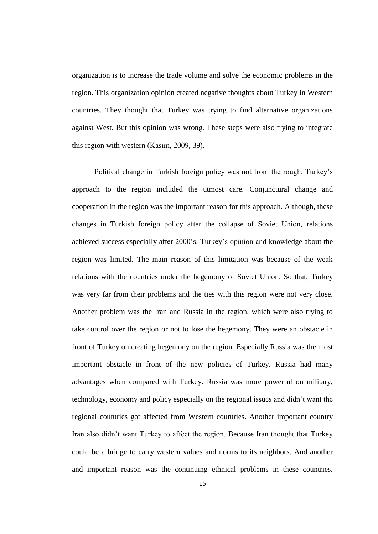organization is to increase the trade volume and solve the economic problems in the region. This organization opinion created negative thoughts about Turkey in Western countries. They thought that Turkey was trying to find alternative organizations against West. But this opinion was wrong. These steps were also trying to integrate this region with western (Kasım, 2009, 39).

Political change in Turkish foreign policy was not from the rough. Turkey's approach to the region included the utmost care. Conjunctural change and cooperation in the region was the important reason for this approach. Although, these changes in Turkish foreign policy after the collapse of Soviet Union, relations achieved success especially after 2000's. Turkey's opinion and knowledge about the region was limited. The main reason of this limitation was because of the weak relations with the countries under the hegemony of Soviet Union. So that, Turkey was very far from their problems and the ties with this region were not very close. Another problem was the Iran and Russia in the region, which were also trying to take control over the region or not to lose the hegemony. They were an obstacle in front of Turkey on creating hegemony on the region. Especially Russia was the most important obstacle in front of the new policies of Turkey. Russia had many advantages when compared with Turkey. Russia was more powerful on military, technology, economy and policy especially on the regional issues and didn't want the regional countries got affected from Western countries. Another important country Iran also didn't want Turkey to affect the region. Because Iran thought that Turkey could be a bridge to carry western values and norms to its neighbors. And another and important reason was the continuing ethnical problems in these countries.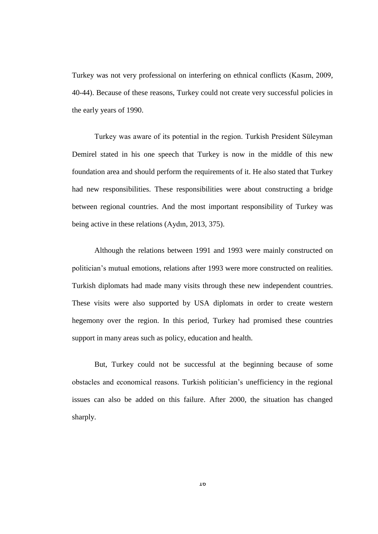Turkey was not very professional on interfering on ethnical conflicts (Kasım, 2009, 40-44). Because of these reasons, Turkey could not create very successful policies in the early years of 1990.

Turkey was aware of its potential in the region. Turkish President Süleyman Demirel stated in his one speech that Turkey is now in the middle of this new foundation area and should perform the requirements of it. He also stated that Turkey had new responsibilities. These responsibilities were about constructing a bridge between regional countries. And the most important responsibility of Turkey was being active in these relations (Aydın, 2013, 375).

Although the relations between 1991 and 1993 were mainly constructed on politician's mutual emotions, relations after 1993 were more constructed on realities. Turkish diplomats had made many visits through these new independent countries. These visits were also supported by USA diplomats in order to create western hegemony over the region. In this period, Turkey had promised these countries support in many areas such as policy, education and health.

But, Turkey could not be successful at the beginning because of some obstacles and economical reasons. Turkish politician's unefficiency in the regional issues can also be added on this failure. After 2000, the situation has changed sharply.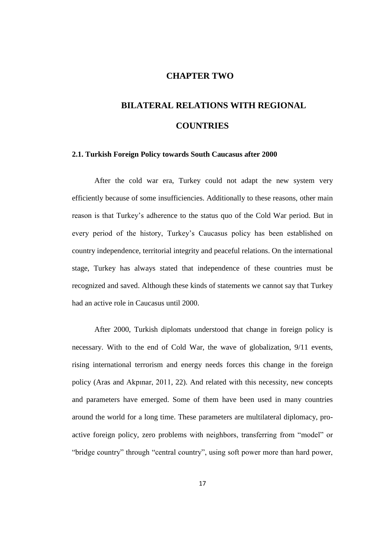### **CHAPTER TWO**

# **BILATERAL RELATIONS WITH REGIONAL COUNTRIES**

#### **2.1. Turkish Foreign Policy towards South Caucasus after 2000**

After the cold war era, Turkey could not adapt the new system very efficiently because of some insufficiencies. Additionally to these reasons, other main reason is that Turkey's adherence to the status quo of the Cold War period. But in every period of the history, Turkey's Caucasus policy has been established on country independence, territorial integrity and peaceful relations. On the international stage, Turkey has always stated that independence of these countries must be recognized and saved. Although these kinds of statements we cannot say that Turkey had an active role in Caucasus until 2000.

After 2000, Turkish diplomats understood that change in foreign policy is necessary. With to the end of Cold War, the wave of globalization, 9/11 events, rising international terrorism and energy needs forces this change in the foreign policy (Aras and Akpınar, 2011, 22). And related with this necessity, new concepts and parameters have emerged. Some of them have been used in many countries around the world for a long time. These parameters are multilateral diplomacy, proactive foreign policy, zero problems with neighbors, transferring from "model" or "bridge country" through "central country", using soft power more than hard power,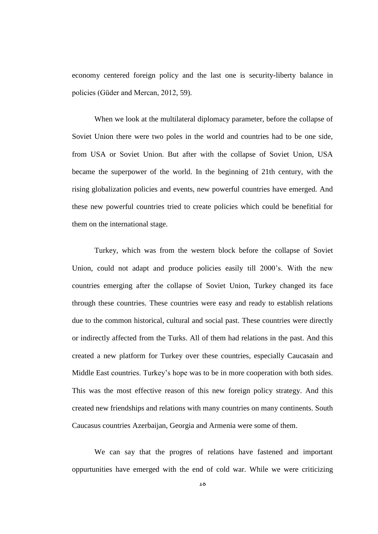economy centered foreign policy and the last one is security-liberty balance in policies (Güder and Mercan, 2012, 59).

When we look at the multilateral diplomacy parameter, before the collapse of Soviet Union there were two poles in the world and countries had to be one side, from USA or Soviet Union. But after with the collapse of Soviet Union, USA became the superpower of the world. In the beginning of 21th century, with the rising globalization policies and events, new powerful countries have emerged. And these new powerful countries tried to create policies which could be benefitial for them on the international stage.

Turkey, which was from the western block before the collapse of Soviet Union, could not adapt and produce policies easily till 2000's. With the new countries emerging after the collapse of Soviet Union, Turkey changed its face through these countries. These countries were easy and ready to establish relations due to the common historical, cultural and social past. These countries were directly or indirectly affected from the Turks. All of them had relations in the past. And this created a new platform for Turkey over these countries, especially Caucasain and Middle East countries. Turkey's hope was to be in more cooperation with both sides. This was the most effective reason of this new foreign policy strategy. And this created new friendships and relations with many countries on many continents. South Caucasus countries Azerbaijan, Georgia and Armenia were some of them.

We can say that the progres of relations have fastened and important oppurtunities have emerged with the end of cold war. While we were criticizing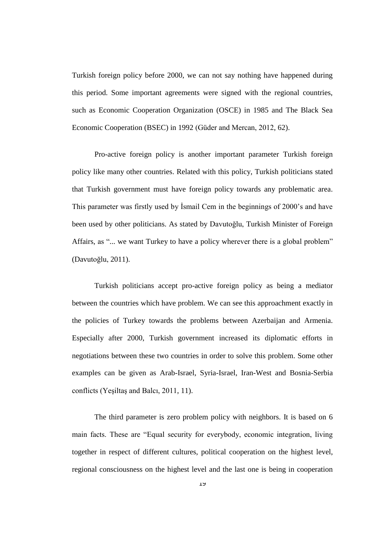Turkish foreign policy before 2000, we can not say nothing have happened during this period. Some important agreements were signed with the regional countries, such as Economic Cooperation Organization (OSCE) in 1985 and The Black Sea Economic Cooperation (BSEC) in 1992 (Güder and Mercan, 2012, 62).

Pro-active foreign policy is another important parameter Turkish foreign policy like many other countries. Related with this policy, Turkish politicians stated that Turkish government must have foreign policy towards any problematic area. This parameter was firstly used by Ismail Cem in the beginnings of 2000's and have been used by other politicians. As stated by Davutoğlu, Turkish Minister of Foreign Affairs, as "... we want Turkey to have a policy wherever there is a global problem" (Davutoğlu, 2011).

Turkish politicians accept pro-active foreign policy as being a mediator between the countries which have problem. We can see this approachment exactly in the policies of Turkey towards the problems between Azerbaijan and Armenia. Especially after 2000, Turkish government increased its diplomatic efforts in negotiations between these two countries in order to solve this problem. Some other examples can be given as Arab-Israel, Syria-Israel, Iran-West and Bosnia-Serbia conflicts (Yeşiltaş and Balcı, 2011, 11).

The third parameter is zero problem policy with neighbors. It is based on 6 main facts. These are "Equal security for everybody, economic integration, living together in respect of different cultures, political cooperation on the highest level, regional consciousness on the highest level and the last one is being in cooperation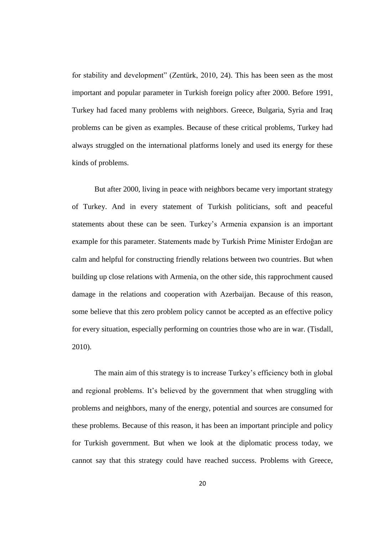for stability and development" (Zentürk, 2010, 24). This has been seen as the most important and popular parameter in Turkish foreign policy after 2000. Before 1991, Turkey had faced many problems with neighbors. Greece, Bulgaria, Syria and Iraq problems can be given as examples. Because of these critical problems, Turkey had always struggled on the international platforms lonely and used its energy for these kinds of problems.

But after 2000, living in peace with neighbors became very important strategy of Turkey. And in every statement of Turkish politicians, soft and peaceful statements about these can be seen. Turkey's Armenia expansion is an important example for this parameter. Statements made by Turkish Prime Minister Erdoğan are calm and helpful for constructing friendly relations between two countries. But when building up close relations with Armenia, on the other side, this rapprochment caused damage in the relations and cooperation with Azerbaijan. Because of this reason, some believe that this zero problem policy cannot be accepted as an effective policy for every situation, especially performing on countries those who are in war. (Tisdall, 2010).

The main aim of this strategy is to increase Turkey's efficiency both in global and regional problems. It's believed by the government that when struggling with problems and neighbors, many of the energy, potential and sources are consumed for these problems. Because of this reason, it has been an important principle and policy for Turkish government. But when we look at the diplomatic process today, we cannot say that this strategy could have reached success. Problems with Greece,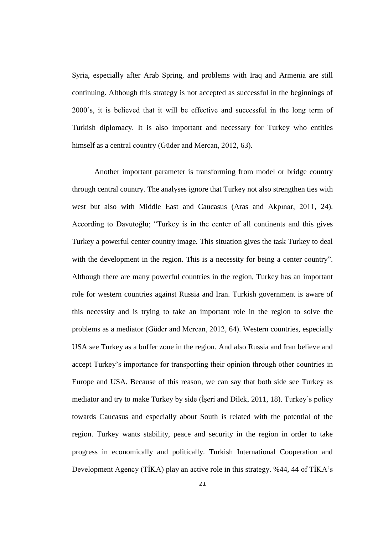Syria, especially after Arab Spring, and problems with Iraq and Armenia are still continuing. Although this strategy is not accepted as successful in the beginnings of 2000's, it is believed that it will be effective and successful in the long term of Turkish diplomacy. It is also important and necessary for Turkey who entitles himself as a central country (Güder and Mercan, 2012, 63).

Another important parameter is transforming from model or bridge country through central country. The analyses ignore that Turkey not also strengthen ties with west but also with Middle East and Caucasus (Aras and Akpınar, 2011, 24). According to Davutoğlu; "Turkey is in the center of all continents and this gives Turkey a powerful center country image. This situation gives the task Turkey to deal with the development in the region. This is a necessity for being a center country". Although there are many powerful countries in the region, Turkey has an important role for western countries against Russia and Iran. Turkish government is aware of this necessity and is trying to take an important role in the region to solve the problems as a mediator (Güder and Mercan, 2012, 64). Western countries, especially USA see Turkey as a buffer zone in the region. And also Russia and Iran believe and accept Turkey's importance for transporting their opinion through other countries in Europe and USA. Because of this reason, we can say that both side see Turkey as mediator and try to make Turkey by side (İşeri and Dilek, 2011, 18). Turkey's policy towards Caucasus and especially about South is related with the potential of the region. Turkey wants stability, peace and security in the region in order to take progress in economically and politically. Turkish International Cooperation and Development Agency (TİKA) play an active role in this strategy. %44, 44 of TİKA's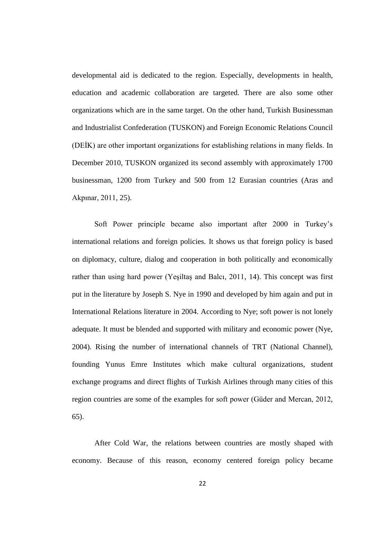developmental aid is dedicated to the region. Especially, developments in health, education and academic collaboration are targeted. There are also some other organizations which are in the same target. On the other hand, Turkish Businessman and Industrialist Confederation (TUSKON) and Foreign Economic Relations Council (DEİK) are other important organizations for establishing relations in many fields. In December 2010, TUSKON organized its second assembly with approximately 1700 businessman, 1200 from Turkey and 500 from 12 Eurasian countries (Aras and Akpınar, 2011, 25).

Soft Power principle became also important after 2000 in Turkey's international relations and foreign policies. It shows us that foreign policy is based on diplomacy, culture, dialog and cooperation in both politically and economically rather than using hard power (Yeşiltaş and Balcı, 2011, 14). This concept was first put in the literature by Joseph S. Nye in 1990 and developed by him again and put in International Relations literature in 2004. According to Nye; soft power is not lonely adequate. It must be blended and supported with military and economic power (Nye, 2004). Rising the number of international channels of TRT (National Channel), founding Yunus Emre Institutes which make cultural organizations, student exchange programs and direct flights of Turkish Airlines through many cities of this region countries are some of the examples for soft power (Güder and Mercan, 2012, 65).

After Cold War, the relations between countries are mostly shaped with economy. Because of this reason, economy centered foreign policy became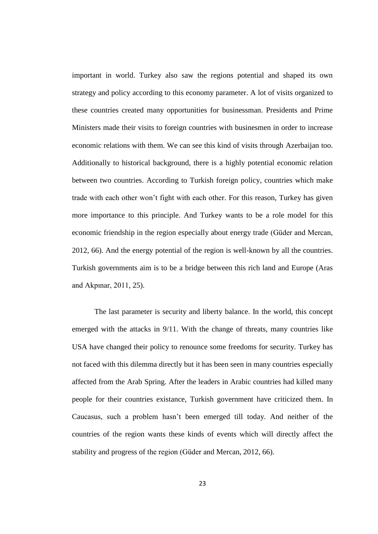important in world. Turkey also saw the regions potential and shaped its own strategy and policy according to this economy parameter. A lot of visits organized to these countries created many opportunities for businessman. Presidents and Prime Ministers made their visits to foreign countries with businesmen in order to increase economic relations with them. We can see this kind of visits through Azerbaijan too. Additionally to historical background, there is a highly potential economic relation between two countries. According to Turkish foreign policy, countries which make trade with each other won't fight with each other. For this reason, Turkey has given more importance to this principle. And Turkey wants to be a role model for this economic friendship in the region especially about energy trade (Güder and Mercan, 2012, 66). And the energy potential of the region is well-known by all the countries. Turkish governments aim is to be a bridge between this rich land and Europe (Aras and Akpınar, 2011, 25).

The last parameter is security and liberty balance. In the world, this concept emerged with the attacks in 9/11. With the change of threats, many countries like USA have changed their policy to renounce some freedoms for security. Turkey has not faced with this dilemma directly but it has been seen in many countries especially affected from the Arab Spring. After the leaders in Arabic countries had killed many people for their countries existance, Turkish government have criticized them. In Caucasus, such a problem hasn't been emerged till today. And neither of the countries of the region wants these kinds of events which will directly affect the stability and progress of the region (Güder and Mercan, 2012, 66).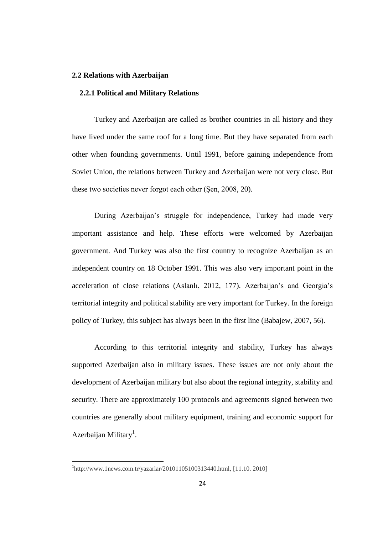#### **2.2 Relations with Azerbaijan**

#### **2.2.1 Political and Military Relations**

Turkey and Azerbaijan are called as brother countries in all history and they have lived under the same roof for a long time. But they have separated from each other when founding governments. Until 1991, before gaining independence from Soviet Union, the relations between Turkey and Azerbaijan were not very close. But these two societies never forgot each other (Şen, 2008, 20).

During Azerbaijan's struggle for independence, Turkey had made very important assistance and help. These efforts were welcomed by Azerbaijan government. And Turkey was also the first country to recognize Azerbaijan as an independent country on 18 October 1991. This was also very important point in the acceleration of close relations (Aslanlı, 2012, 177). Azerbaijan's and Georgia's territorial integrity and political stability are very important for Turkey. In the foreign policy of Turkey, this subject has always been in the first line (Babajew, 2007, 56).

According to this territorial integrity and stability, Turkey has always supported Azerbaijan also in military issues. These issues are not only about the development of Azerbaijan military but also about the regional integrity, stability and security. There are approximately 100 protocols and agreements signed between two countries are generally about military equipment, training and economic support for Azerbaijan Military<sup>1</sup>.

 $\overline{\phantom{a}}$ 

<sup>1</sup> http://www.1news.com.tr/yazarlar/20101105100313440.html, [11.10. 2010]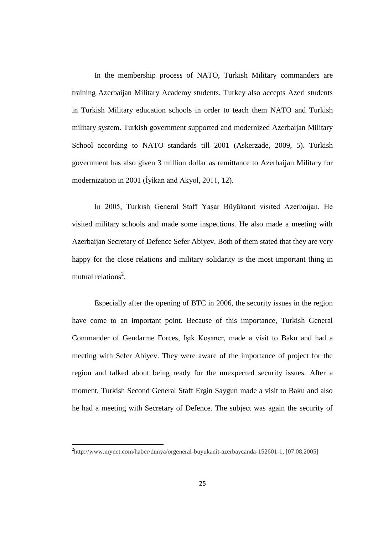In the membership process of NATO, Turkish Military commanders are training Azerbaijan Military Academy students. Turkey also accepts Azeri students in Turkish Military education schools in order to teach them NATO and Turkish military system. Turkish government supported and modernized Azerbaijan Military School according to NATO standards till 2001 (Askerzade, 2009, 5). Turkish government has also given 3 million dollar as remittance to Azerbaijan Military for modernization in 2001 (İyikan and Akyol, 2011, 12).

In 2005, Turkish General Staff YaĢar Büyükanıt visited Azerbaijan. He visited military schools and made some inspections. He also made a meeting with Azerbaijan Secretary of Defence Sefer Abiyev. Both of them stated that they are very happy for the close relations and military solidarity is the most important thing in mutual relations<sup>2</sup>.

Especially after the opening of BTC in 2006, the security issues in the region have come to an important point. Because of this importance, Turkish General Commander of Gendarme Forces, Işık Koşaner, made a visit to Baku and had a meeting with Sefer Abiyev. They were aware of the importance of project for the region and talked about being ready for the unexpected security issues. After a moment, Turkish Second General Staff Ergin Saygun made a visit to Baku and also he had a meeting with Secretary of Defence. The subject was again the security of

 $\overline{\phantom{a}}$ 

<sup>2</sup> http://www.mynet.com/haber/dunya/orgeneral-buyukanit-azerbaycanda-152601-1, [07.08.2005]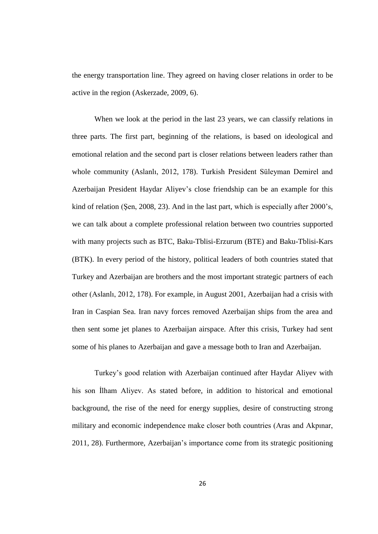the energy transportation line. They agreed on having closer relations in order to be active in the region (Askerzade, 2009, 6).

When we look at the period in the last 23 years, we can classify relations in three parts. The first part, beginning of the relations, is based on ideological and emotional relation and the second part is closer relations between leaders rather than whole community (Aslanlı, 2012, 178). Turkish President Süleyman Demirel and Azerbaijan President Haydar Aliyev's close friendship can be an example for this kind of relation (Şen, 2008, 23). And in the last part, which is especially after 2000's, we can talk about a complete professional relation between two countries supported with many projects such as BTC, Baku-Tblisi-Erzurum (BTE) and Baku-Tblisi-Kars (BTK). In every period of the history, political leaders of both countries stated that Turkey and Azerbaijan are brothers and the most important strategic partners of each other (Aslanlı, 2012, 178). For example, in August 2001, Azerbaijan had a crisis with Iran in Caspian Sea. Iran navy forces removed Azerbaijan ships from the area and then sent some jet planes to Azerbaijan airspace. After this crisis, Turkey had sent some of his planes to Azerbaijan and gave a message both to Iran and Azerbaijan.

Turkey's good relation with Azerbaijan continued after Haydar Aliyev with his son İlham Aliyev. As stated before, in addition to historical and emotional background, the rise of the need for energy supplies, desire of constructing strong military and economic independence make closer both countries (Aras and Akpınar, 2011, 28). Furthermore, Azerbaijan's importance come from its strategic positioning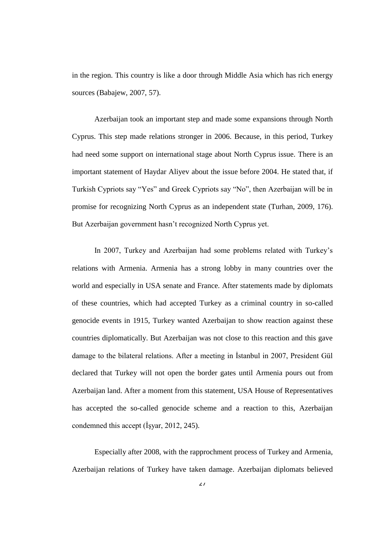in the region. This country is like a door through Middle Asia which has rich energy sources (Babajew, 2007, 57).

Azerbaijan took an important step and made some expansions through North Cyprus. This step made relations stronger in 2006. Because, in this period, Turkey had need some support on international stage about North Cyprus issue. There is an important statement of Haydar Aliyev about the issue before 2004. He stated that, if Turkish Cypriots say "Yes" and Greek Cypriots say "No", then Azerbaijan will be in promise for recognizing North Cyprus as an independent state (Turhan, 2009, 176). But Azerbaijan government hasn't recognized North Cyprus yet.

In 2007, Turkey and Azerbaijan had some problems related with Turkey's relations with Armenia. Armenia has a strong lobby in many countries over the world and especially in USA senate and France. After statements made by diplomats of these countries, which had accepted Turkey as a criminal country in so-called genocide events in 1915, Turkey wanted Azerbaijan to show reaction against these countries diplomatically. But Azerbaijan was not close to this reaction and this gave damage to the bilateral relations. After a meeting in Istanbul in 2007, President Gül declared that Turkey will not open the border gates until Armenia pours out from Azerbaijan land. After a moment from this statement, USA House of Representatives has accepted the so-called genocide scheme and a reaction to this, Azerbaijan condemned this accept (İşyar, 2012, 245).

Especially after 2008, with the rapprochment process of Turkey and Armenia, Azerbaijan relations of Turkey have taken damage. Azerbaijan diplomats believed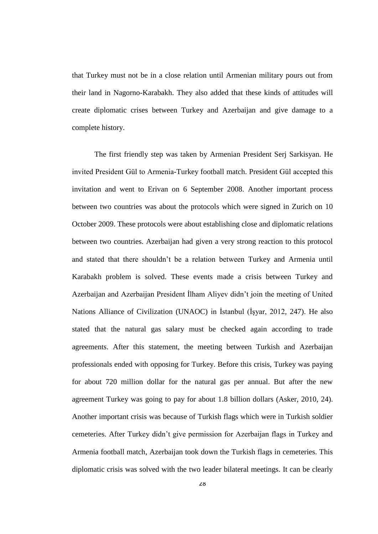that Turkey must not be in a close relation until Armenian military pours out from their land in Nagorno-Karabakh. They also added that these kinds of attitudes will create diplomatic crises between Turkey and Azerbaijan and give damage to a complete history.

The first friendly step was taken by Armenian President Serj Sarkisyan. He invited President Gül to Armenia-Turkey football match. President Gül accepted this invitation and went to Erivan on 6 September 2008. Another important process between two countries was about the protocols which were signed in Zurich on 10 October 2009. These protocols were about establishing close and diplomatic relations between two countries. Azerbaijan had given a very strong reaction to this protocol and stated that there shouldn't be a relation between Turkey and Armenia until Karabakh problem is solved. These events made a crisis between Turkey and Azerbaijan and Azerbaijan President İlham Aliyev didn't join the meeting of United Nations Alliance of Civilization (UNAOC) in Istanbul (Isvar, 2012, 247). He also stated that the natural gas salary must be checked again according to trade agreements. After this statement, the meeting between Turkish and Azerbaijan professionals ended with opposing for Turkey. Before this crisis, Turkey was paying for about 720 million dollar for the natural gas per annual. But after the new agreement Turkey was going to pay for about 1.8 billion dollars (Asker, 2010, 24). Another important crisis was because of Turkish flags which were in Turkish soldier cemeteries. After Turkey didn't give permission for Azerbaijan flags in Turkey and Armenia football match, Azerbaijan took down the Turkish flags in cemeteries. This diplomatic crisis was solved with the two leader bilateral meetings. It can be clearly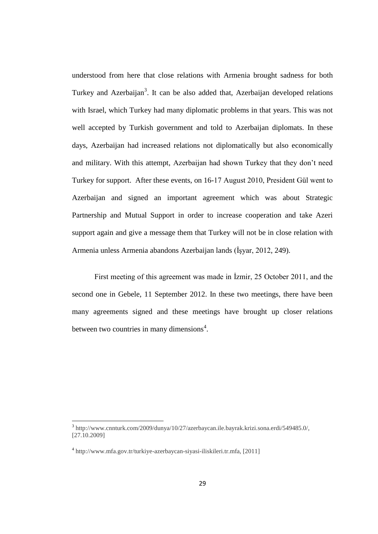understood from here that close relations with Armenia brought sadness for both Turkey and Azerbaijan<sup>3</sup>. It can be also added that, Azerbaijan developed relations with Israel, which Turkey had many diplomatic problems in that years. This was not well accepted by Turkish government and told to Azerbaijan diplomats. In these days, Azerbaijan had increased relations not diplomatically but also economically and military. With this attempt, Azerbaijan had shown Turkey that they don't need Turkey for support. After these events, on 16-17 August 2010, President Gül went to Azerbaijan and signed an important agreement which was about Strategic Partnership and Mutual Support in order to increase cooperation and take Azeri support again and give a message them that Turkey will not be in close relation with Armenia unless Armenia abandons Azerbaijan lands (İşyar, 2012, 249).

First meeting of this agreement was made in İzmir, 25 October 2011, and the second one in Gebele, 11 September 2012. In these two meetings, there have been many agreements signed and these meetings have brought up closer relations between two countries in many dimensions<sup>4</sup>.

 3 http://www.cnnturk.com/2009/dunya/10/27/azerbaycan.ile.bayrak.krizi.sona.erdi/549485.0/, [27.10.2009]

<sup>4</sup> http://www.mfa.gov.tr/turkiye-azerbaycan-siyasi-iliskileri.tr.mfa, [2011]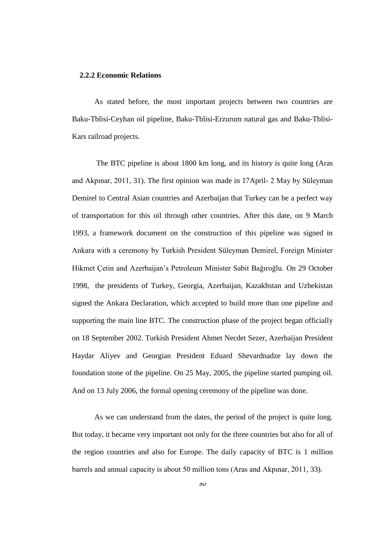#### **2.2.2 Economic Relations**

As stated before, the most important projects between two countries are Baku-Tblisi-Ceyhan oil pipeline, Baku-Tblisi-Erzurum natural gas and Baku-Tblisi-Kars railroad projects.

The BTC pipeline is about 1800 km long, and its history is quite long (Aras and Akpınar, 2011, 31). The first opinion was made in 17April- 2 May by Süleyman Demirel to Central Asian countries and Azerbaijan that Turkey can be a perfect way of transportation for this oil through other countries. After this date, on 9 March 1993, a framework document on the construction of this pipeline was signed in Ankara with a ceremony by Turkish President Süleyman Demirel, Foreign Minister Hikmet Çetin and Azerbaijan's Petroleum Minister Sabit Bağıroğlu. On 29 October 1998, the presidents of Turkey, Georgia, Azerbaijan, Kazakhstan and Uzbekistan signed the Ankara Declaration, which accepted to build more than one pipeline and supporting the main line BTC. The construction phase of the project began officially on 18 September 2002. Turkish President Ahmet Necdet Sezer, Azerbaijan President Haydar Aliyev and Georgian President Eduard Shevardnadze lay down the foundation stone of the pipeline. On 25 May, 2005, the pipeline started pumping oil. And on 13 July 2006, the formal opening ceremony of the pipeline was done.

As we can understand from the dates, the period of the project is quite long. But today, it became very important not only for the three countries but also for all of the region countries and also for Europe. The daily capacity of BTC is 1 million barrels and annual capacity is about 50 million tons (Aras and Akpınar, 2011, 33).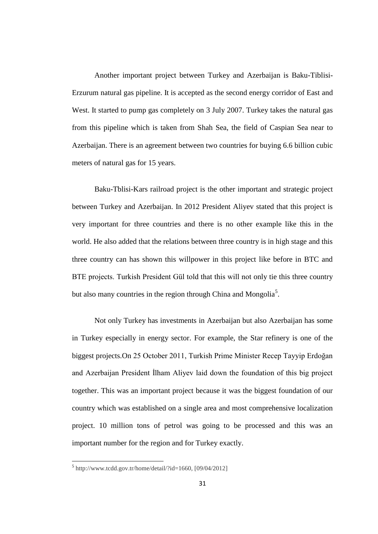Another important project between Turkey and Azerbaijan is Baku-Tiblisi-Erzurum natural gas pipeline. It is accepted as the second energy corridor of East and West. It started to pump gas completely on 3 July 2007. Turkey takes the natural gas from this pipeline which is taken from Shah Sea, the field of Caspian Sea near to Azerbaijan. There is an agreement between two countries for buying 6.6 billion cubic meters of natural gas for 15 years.

Baku-Tblisi-Kars railroad project is the other important and strategic project between Turkey and Azerbaijan. In 2012 President Aliyev stated that this project is very important for three countries and there is no other example like this in the world. He also added that the relations between three country is in high stage and this three country can has shown this willpower in this project like before in BTC and BTE projects. Turkish President Gül told that this will not only tie this three country but also many countries in the region through China and Mongolia<sup>5</sup>.

Not only Turkey has investments in Azerbaijan but also Azerbaijan has some in Turkey especially in energy sector. For example, the Star refinery is one of the biggest projects.On 25 October 2011, Turkish Prime Minister Recep Tayyip Erdoğan and Azerbaijan President İlham Aliyev laid down the foundation of this big project together. This was an important project because it was the biggest foundation of our country which was established on a single area and most comprehensive localization project. 10 million tons of petrol was going to be processed and this was an important number for the region and for Turkey exactly.

 $<sup>5</sup>$  http://www.tcdd.gov.tr/home/detail/?id=1660, [09/04/2012]</sup>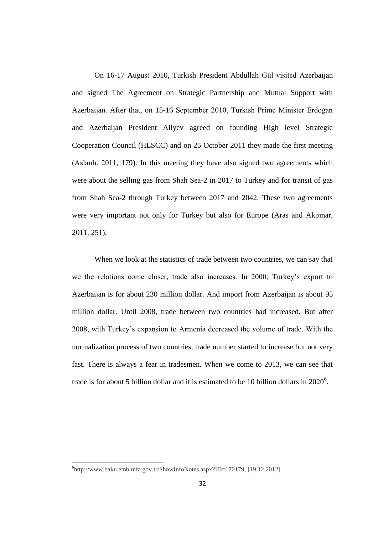On 16-17 August 2010, Turkish President Abdullah Gül visited Azerbaijan and signed The Agreement on Strategic Partnership and Mutual Support with Azerbaijan. After that, on 15-16 September 2010, Turkish Prime Minister Erdoğan and Azerbaijan President Aliyev agreed on founding High level Strategic Cooperation Council (HLSCC) and on 25 October 2011 they made the first meeting (Aslanlı, 2011, 179). In this meeting they have also signed two agreements which were about the selling gas from Shah Sea-2 in 2017 to Turkey and for transit of gas from Shah Sea-2 through Turkey between 2017 and 2042. These two agreements were very important not only for Turkey but also for Europe (Aras and Akpınar, 2011, 251).

When we look at the statistics of trade between two countries, we can say that we the relations come closer, trade also increases. In 2000, Turkey's export to Azerbaijan is for about 230 million dollar. And import from Azerbaijan is about 95 million dollar. Until 2008, trade between two countries had increased. But after 2008, with Turkey's expansion to Armenia decreased the volume of trade. With the normalization process of two countries, trade number started to increase but not very fast. There is always a fear in tradesmen. When we come to 2013, we can see that trade is for about 5 billion dollar and it is estimated to be 10 billion dollars in  $2020^6$ .

 $\overline{\phantom{a}}$ 

<sup>6</sup> http://www.baku.emb.mfa.gov.tr/ShowInfoNotes.aspx?ID=170179, [19.12.2012]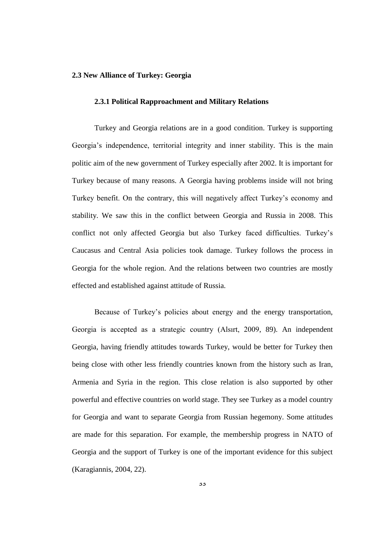## **2.3 New Alliance of Turkey: Georgia**

#### **2.3.1 Political Rapproachment and Military Relations**

Turkey and Georgia relations are in a good condition. Turkey is supporting Georgia's independence, territorial integrity and inner stability. This is the main politic aim of the new government of Turkey especially after 2002. It is important for Turkey because of many reasons. A Georgia having problems inside will not bring Turkey benefit. On the contrary, this will negatively affect Turkey's economy and stability. We saw this in the conflict between Georgia and Russia in 2008. This conflict not only affected Georgia but also Turkey faced difficulties. Turkey's Caucasus and Central Asia policies took damage. Turkey follows the process in Georgia for the whole region. And the relations between two countries are mostly effected and established against attitude of Russia.

Because of Turkey's policies about energy and the energy transportation, Georgia is accepted as a strategic country (Alsırt, 2009, 89). An independent Georgia, having friendly attitudes towards Turkey, would be better for Turkey then being close with other less friendly countries known from the history such as Iran, Armenia and Syria in the region. This close relation is also supported by other powerful and effective countries on world stage. They see Turkey as a model country for Georgia and want to separate Georgia from Russian hegemony. Some attitudes are made for this separation. For example, the membership progress in NATO of Georgia and the support of Turkey is one of the important evidence for this subject (Karagiannis, 2004, 22).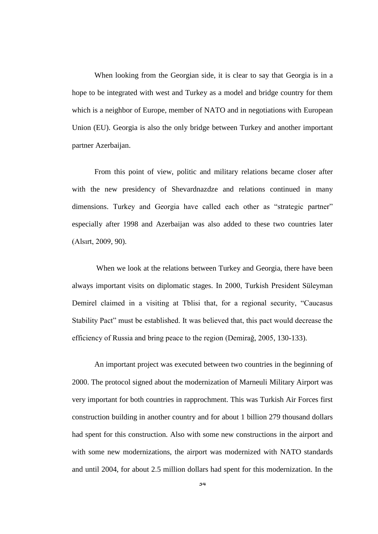When looking from the Georgian side, it is clear to say that Georgia is in a hope to be integrated with west and Turkey as a model and bridge country for them which is a neighbor of Europe, member of NATO and in negotiations with European Union (EU). Georgia is also the only bridge between Turkey and another important partner Azerbaijan.

From this point of view, politic and military relations became closer after with the new presidency of Shevardnazdze and relations continued in many dimensions. Turkey and Georgia have called each other as "strategic partner" especially after 1998 and Azerbaijan was also added to these two countries later (Alsırt, 2009, 90).

When we look at the relations between Turkey and Georgia, there have been always important visits on diplomatic stages. In 2000, Turkish President Süleyman Demirel claimed in a visiting at Tblisi that, for a regional security, "Caucasus Stability Pact" must be established. It was believed that, this pact would decrease the efficiency of Russia and bring peace to the region (Demirağ, 2005, 130-133).

An important project was executed between two countries in the beginning of 2000. The protocol signed about the modernization of Marneuli Military Airport was very important for both countries in rapprochment. This was Turkish Air Forces first construction building in another country and for about 1 billion 279 thousand dollars had spent for this construction. Also with some new constructions in the airport and with some new modernizations, the airport was modernized with NATO standards and until 2004, for about 2.5 million dollars had spent for this modernization. In the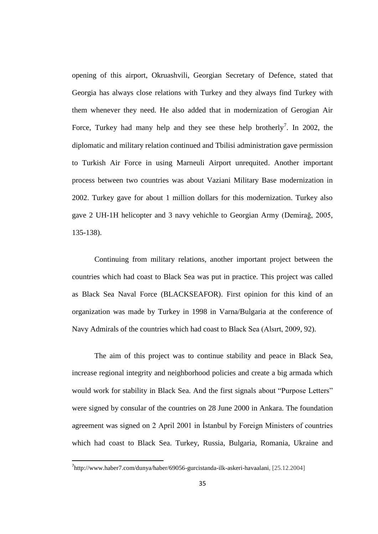opening of this airport, Okruashvili, Georgian Secretary of Defence, stated that Georgia has always close relations with Turkey and they always find Turkey with them whenever they need. He also added that in modernization of Gerogian Air Force, Turkey had many help and they see these help brotherly<sup>7</sup>. In 2002, the diplomatic and military relation continued and Tbilisi administration gave permission to Turkish Air Force in using Marneuli Airport unrequited. Another important process between two countries was about Vaziani Military Base modernization in 2002. Turkey gave for about 1 million dollars for this modernization. Turkey also gave 2 UH-1H helicopter and 3 navy vehichle to Georgian Army (Demirağ, 2005, 135-138).

Continuing from military relations, another important project between the countries which had coast to Black Sea was put in practice. This project was called as Black Sea Naval Force (BLACKSEAFOR). First opinion for this kind of an organization was made by Turkey in 1998 in Varna/Bulgaria at the conference of Navy Admirals of the countries which had coast to Black Sea (Alsırt, 2009, 92).

The aim of this project was to continue stability and peace in Black Sea, increase regional integrity and neighborhood policies and create a big armada which would work for stability in Black Sea. And the first signals about "Purpose Letters" were signed by consular of the countries on 28 June 2000 in Ankara. The foundation agreement was signed on 2 April 2001 in Istanbul by Foreign Ministers of countries which had coast to Black Sea. Turkey, Russia, Bulgaria, Romania, Ukraine and

<sup>&</sup>lt;sup>7</sup>[http://www.haber7.com/dunya/haber/69056-gurcistanda-ilk-askeri-havaalani,](http://www.haber7.com/dunya/haber/69056-gurcistanda-ilk-askeri-havaalani) [25.12.2004]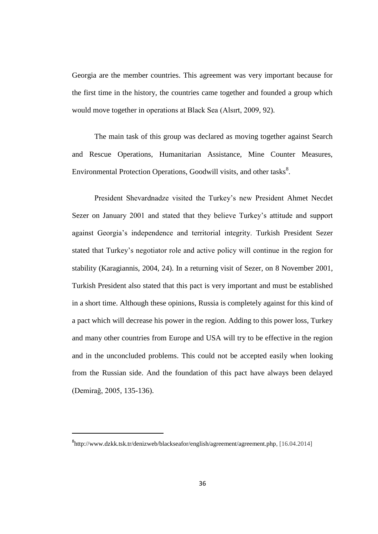Georgia are the member countries. This agreement was very important because for the first time in the history, the countries came together and founded a group which would move together in operations at Black Sea (Alsırt, 2009, 92).

The main task of this group was declared as moving together against Search and Rescue Operations, Humanitarian Assistance, Mine Counter Measures, Environmental Protection Operations, Goodwill visits, and other tasks<sup>8</sup>.

President Shevardnadze visited the Turkey's new President Ahmet Necdet Sezer on January 2001 and stated that they believe Turkey's attitude and support against Georgia's independence and territorial integrity. Turkish President Sezer stated that Turkey's negotiator role and active policy will continue in the region for stability (Karagiannis, 2004, 24). In a returning visit of Sezer, on 8 November 2001, Turkish President also stated that this pact is very important and must be established in a short time. Although these opinions, Russia is completely against for this kind of a pact which will decrease his power in the region. Adding to this power loss, Turkey and many other countries from Europe and USA will try to be effective in the region and in the unconcluded problems. This could not be accepted easily when looking from the Russian side. And the foundation of this pact have always been delayed (Demirağ, 2005, 135-136).

<sup>8</sup> [http://www.dzkk.tsk.tr/denizweb/blackseafor/english/agreement/agreement.php,](http://www.dzkk.tsk.tr/denizweb/blackseafor/english/agreement/agreement.php) [16.04.2014]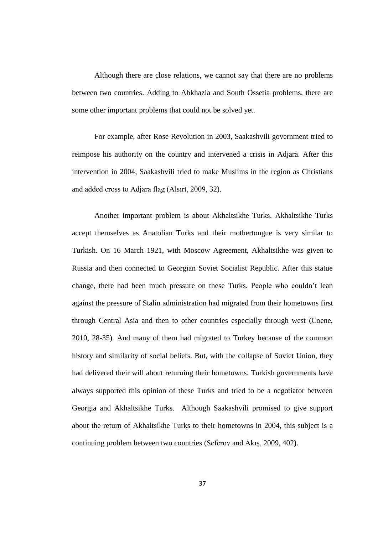Although there are close relations, we cannot say that there are no problems between two countries. Adding to Abkhazia and South Ossetia problems, there are some other important problems that could not be solved yet.

For example, after Rose Revolution in 2003, Saakashvili government tried to reimpose his authority on the country and intervened a crisis in Adjara. After this intervention in 2004, Saakashvili tried to make Muslims in the region as Christians and added cross to Adjara flag (Alsırt, 2009, 32).

Another important problem is about Akhaltsikhe Turks. Akhaltsikhe Turks accept themselves as Anatolian Turks and their mothertongue is very similar to Turkish. On 16 March 1921, with Moscow Agreement, Akhaltsikhe was given to Russia and then connected to Georgian Soviet Socialist Republic. After this statue change, there had been much pressure on these Turks. People who couldn't lean against the pressure of Stalin administration had migrated from their hometowns first through Central Asia and then to other countries especially through west (Coene, 2010, 28-35). And many of them had migrated to Turkey because of the common history and similarity of social beliefs. But, with the collapse of Soviet Union, they had delivered their will about returning their hometowns. Turkish governments have always supported this opinion of these Turks and tried to be a negotiator between Georgia and Akhaltsikhe Turks. Although Saakashvili promised to give support about the return of Akhaltsikhe Turks to their hometowns in 2004, this subject is a continuing problem between two countries (Seferov and Akis, 2009, 402).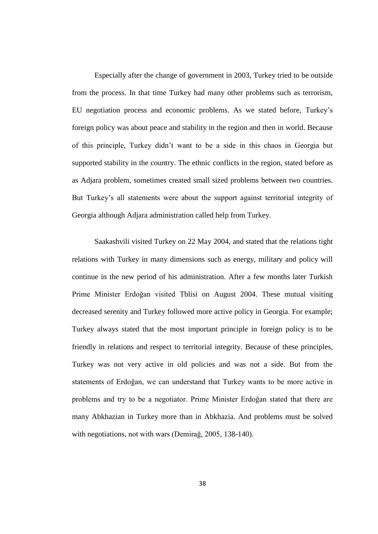Especially after the change of government in 2003, Turkey tried to be outside from the process. In that time Turkey had many other problems such as terrorism, EU negotiation process and economic problems. As we stated before, Turkey's foreign policy was about peace and stability in the region and then in world. Because of this principle, Turkey didn't want to be a side in this chaos in Georgia but supported stability in the country. The ethnic conflicts in the region, stated before as as Adjara problem, sometimes created small sized problems between two countries. But Turkey's all statements were about the support against territorial integrity of Georgia although Adjara administration called help from Turkey.

Saakashvili visited Turkey on 22 May 2004, and stated that the relations tight relations with Turkey in many dimensions such as energy, military and policy will continue in the new period of his administration. After a few months later Turkish Prime Minister Erdoğan visited Tblisi on August 2004. These mutual visiting decreased serenity and Turkey followed more active policy in Georgia. For example; Turkey always stated that the most important principle in foreign policy is to be friendly in relations and respect to territorial integrity. Because of these principles, Turkey was not very active in old policies and was not a side. But from the statements of Erdoğan, we can understand that Turkey wants to be more active in problems and try to be a negotiator. Prime Minister Erdoğan stated that there are many Abkhazian in Turkey more than in Abkhazia. And problems must be solved with negotiations, not with wars (Demirağ, 2005, 138-140).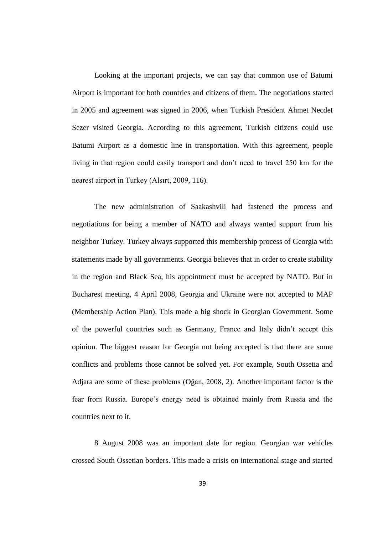Looking at the important projects, we can say that common use of Batumi Airport is important for both countries and citizens of them. The negotiations started in 2005 and agreement was signed in 2006, when Turkish President Ahmet Necdet Sezer visited Georgia. According to this agreement, Turkish citizens could use Batumi Airport as a domestic line in transportation. With this agreement, people living in that region could easily transport and don't need to travel 250 km for the nearest airport in Turkey (Alsırt, 2009, 116).

The new administration of Saakashvili had fastened the process and negotiations for being a member of NATO and always wanted support from his neighbor Turkey. Turkey always supported this membership process of Georgia with statements made by all governments. Georgia believes that in order to create stability in the region and Black Sea, his appointment must be accepted by NATO. But in Bucharest meeting, 4 April 2008, Georgia and Ukraine were not accepted to MAP (Membership Action Plan). This made a big shock in Georgian Government. Some of the powerful countries such as Germany, France and Italy didn't accept this opinion. The biggest reason for Georgia not being accepted is that there are some conflicts and problems those cannot be solved yet. For example, South Ossetia and Adjara are some of these problems (Oğan, 2008, 2). Another important factor is the fear from Russia. Europe's energy need is obtained mainly from Russia and the countries next to it.

8 August 2008 was an important date for region. Georgian war vehicles crossed South Ossetian borders. This made a crisis on international stage and started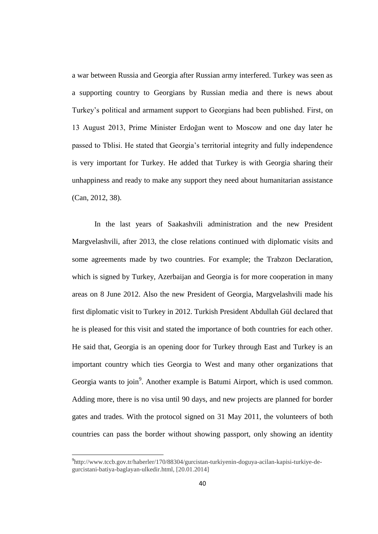a war between Russia and Georgia after Russian army interfered. Turkey was seen as a supporting country to Georgians by Russian media and there is news about Turkey's political and armament support to Georgians had been published. First, on 13 August 2013, Prime Minister Erdoğan went to Moscow and one day later he passed to Tblisi. He stated that Georgia's territorial integrity and fully independence is very important for Turkey. He added that Turkey is with Georgia sharing their unhappiness and ready to make any support they need about humanitarian assistance (Can, 2012, 38).

In the last years of Saakashvili administration and the new President Margvelashvili, after 2013, the close relations continued with diplomatic visits and some agreements made by two countries. For example; the Trabzon Declaration, which is signed by Turkey, Azerbaijan and Georgia is for more cooperation in many areas on 8 June 2012. Also the new President of Georgia, Margvelashvili made his first diplomatic visit to Turkey in 2012. Turkish President Abdullah Gül declared that he is pleased for this visit and stated the importance of both countries for each other. He said that, Georgia is an opening door for Turkey through East and Turkey is an important country which ties Georgia to West and many other organizations that Georgia wants to join<sup>9</sup>. Another example is Batumi Airport, which is used common. Adding more, there is no visa until 90 days, and new projects are planned for border gates and trades. With the protocol signed on 31 May 2011, the volunteers of both countries can pass the border without showing passport, only showing an identity

<sup>9</sup> http://www.tccb.gov.tr/haberler/170/88304/gurcistan-turkiyenin-doguya-acilan-kapisi-turkiye-degurcistani-batiya-baglayan-ulkedir.html, [20.01.2014]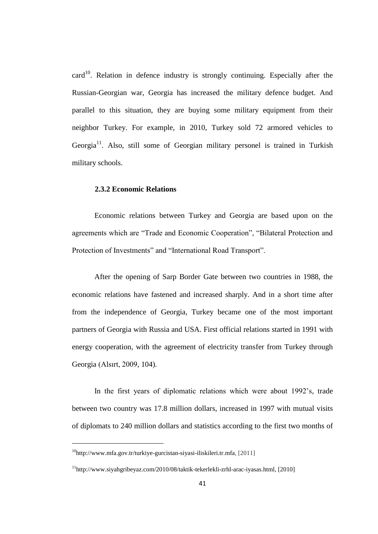card<sup>10</sup>. Relation in defence industry is strongly continuing. Especially after the Russian-Georgian war, Georgia has increased the military defence budget. And parallel to this situation, they are buying some military equipment from their neighbor Turkey. For example, in 2010, Turkey sold 72 armored vehicles to Georgia<sup>11</sup>. Also, still some of Georgian military personel is trained in Turkish military schools.

## **2.3.2 Economic Relations**

Economic relations between Turkey and Georgia are based upon on the agreements which are "Trade and Economic Cooperation", "Bilateral Protection and Protection of Investments" and "International Road Transport".

After the opening of Sarp Border Gate between two countries in 1988, the economic relations have fastened and increased sharply. And in a short time after from the independence of Georgia, Turkey became one of the most important partners of Georgia with Russia and USA. First official relations started in 1991 with energy cooperation, with the agreement of electricity transfer from Turkey through Georgia (Alsırt, 2009, 104).

In the first years of diplomatic relations which were about 1992's, trade between two country was 17.8 million dollars, increased in 1997 with mutual visits of diplomats to 240 million dollars and statistics according to the first two months of

 $10$ [http://www.mfa.gov.tr/turkiye-gurcistan-siyasi-iliskileri.tr.mfa,](http://www.mfa.gov.tr/turkiye-gurcistan-siyasi-iliskileri.tr.mfa) [2011]

 $11$ [http://www.siyahgribeyaz.com/2010/08/taktik-tekerlekli-zrhl-arac-iyasas.html,](http://www.siyahgribeyaz.com/2010/08/taktik-tekerlekli-zrhl-arac-iyasas.html) [2010]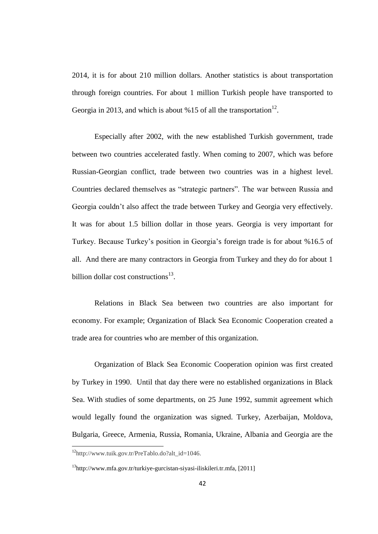2014, it is for about 210 million dollars. Another statistics is about transportation through foreign countries. For about 1 million Turkish people have transported to Georgia in 2013, and which is about %15 of all the transportation<sup>12</sup>.

Especially after 2002, with the new established Turkish government, trade between two countries accelerated fastly. When coming to 2007, which was before Russian-Georgian conflict, trade between two countries was in a highest level. Countries declared themselves as "strategic partners". The war between Russia and Georgia couldn't also affect the trade between Turkey and Georgia very effectively. It was for about 1.5 billion dollar in those years. Georgia is very important for Turkey. Because Turkey's position in Georgia's foreign trade is for about %16.5 of all. And there are many contractors in Georgia from Turkey and they do for about 1 billion dollar cost constructions<sup>13</sup>.

Relations in Black Sea between two countries are also important for economy. For example; Organization of Black Sea Economic Cooperation created a trade area for countries who are member of this organization.

Organization of Black Sea Economic Cooperation opinion was first created by Turkey in 1990. Until that day there were no established organizations in Black Sea. With studies of some departments, on 25 June 1992, summit agreement which would legally found the organization was signed. Turkey, Azerbaijan, Moldova, Bulgaria, Greece, Armenia, Russia, Romania, Ukraine, Albania and Georgia are the

 $\overline{\phantom{a}}$ 

<sup>12</sup>http://www.tuik.gov.tr/PreTablo.do?alt\_id=1046.

<sup>13</sup>[http://www.mfa.gov.tr/turkiye-gurcistan-siyasi-iliskileri.tr.mfa,](http://www.mfa.gov.tr/turkiye-gurcistan-siyasi-iliskileri.tr.mfa) [2011]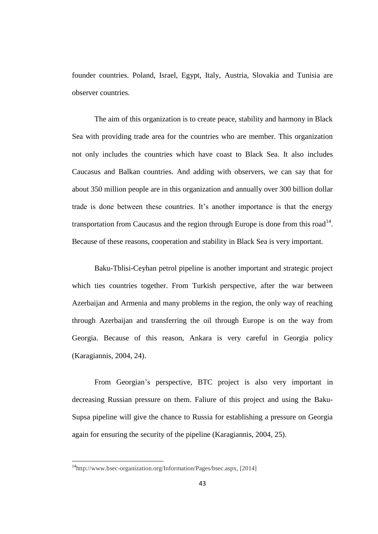founder countries. Poland, Israel, Egypt, Italy, Austria, Slovakia and Tunisia are observer countries.

The aim of this organization is to create peace, stability and harmony in Black Sea with providing trade area for the countries who are member. This organization not only includes the countries which have coast to Black Sea. It also includes Caucasus and Balkan countries. And adding with observers, we can say that for about 350 million people are in this organization and annually over 300 billion dollar trade is done between these countries. It's another importance is that the energy transportation from Caucasus and the region through Europe is done from this road<sup>14</sup>. Because of these reasons, cooperation and stability in Black Sea is very important.

Baku-Tblisi-Ceyhan petrol pipeline is another important and strategic project which ties countries together. From Turkish perspective, after the war between Azerbaijan and Armenia and many problems in the region, the only way of reaching through Azerbaijan and transferring the oil through Europe is on the way from Georgia. Because of this reason, Ankara is very careful in Georgia policy (Karagiannis, 2004, 24).

From Georgian's perspective, BTC project is also very important in decreasing Russian pressure on them. Faliure of this project and using the Baku-Supsa pipeline will give the chance to Russia for establishing a pressure on Georgia again for ensuring the security of the pipeline (Karagiannis, 2004, 25).

<sup>14</sup>http://www.bsec-organization.org/Information/Pages/bsec.aspx, [2014]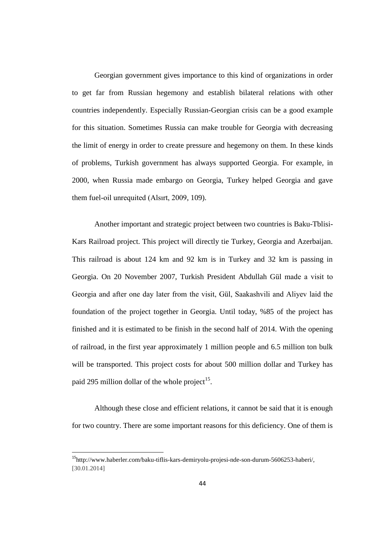Georgian government gives importance to this kind of organizations in order to get far from Russian hegemony and establish bilateral relations with other countries independently. Especially Russian-Georgian crisis can be a good example for this situation. Sometimes Russia can make trouble for Georgia with decreasing the limit of energy in order to create pressure and hegemony on them. In these kinds of problems, Turkish government has always supported Georgia. For example, in 2000, when Russia made embargo on Georgia, Turkey helped Georgia and gave them fuel-oil unrequited (Alsırt, 2009, 109).

Another important and strategic project between two countries is Baku-Tblisi-Kars Railroad project. This project will directly tie Turkey, Georgia and Azerbaijan. This railroad is about 124 km and 92 km is in Turkey and 32 km is passing in Georgia. On 20 November 2007, Turkish President Abdullah Gül made a visit to Georgia and after one day later from the visit, Gül, Saakashvili and Aliyev laid the foundation of the project together in Georgia. Until today, %85 of the project has finished and it is estimated to be finish in the second half of 2014. With the opening of railroad, in the first year approximately 1 million people and 6.5 million ton bulk will be transported. This project costs for about 500 million dollar and Turkey has paid 295 million dollar of the whole project<sup>15</sup>.

Although these close and efficient relations, it cannot be said that it is enough for two country. There are some important reasons for this deficiency. One of them is

 $\overline{\phantom{a}}$ 

<sup>15</sup>[http://www.haberler.com/baku-tiflis-kars-demiryolu-projesi-nde-son-durum-5606253-haberi/,](http://www.haberler.com/baku-tiflis-kars-demiryolu-projesi-nde-son-durum-5606253-haberi/) [30.01.2014]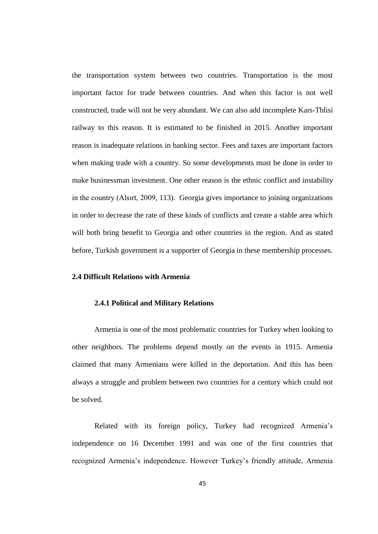the transportation system between two countries. Transportation is the most important factor for trade between countries. And when this factor is not well constructed, trade will not be very abundant. We can also add incomplete Kars-Tblisi railway to this reason. It is estimated to be finished in 2015. Another important reason is inadequate relations in banking sector. Fees and taxes are important factors when making trade with a country. So some developments must be done in order to make businessman investment. One other reason is the ethnic conflict and instability in the country (Alsırt, 2009, 113). Georgia gives importance to joining organizations in order to decrease the rate of these kinds of conflicts and create a stable area which will both bring benefit to Georgia and other countries in the region. And as stated before, Turkish government is a supporter of Georgia in these membership processes.

# **2.4 Difficult Relations with Armenia**

# **2.4.1 Political and Military Relations**

Armenia is one of the most problematic countries for Turkey when looking to other neighbors. The problems depend mostly on the events in 1915. Armenia claimed that many Armenians were killed in the deportation. And this has been always a struggle and problem between two countries for a century which could not be solved.

Related with its foreign policy, Turkey had recognized Armenia's independence on 16 December 1991 and was one of the first countries that recognized Armenia's independence. However Turkey's friendly attitude, Armenia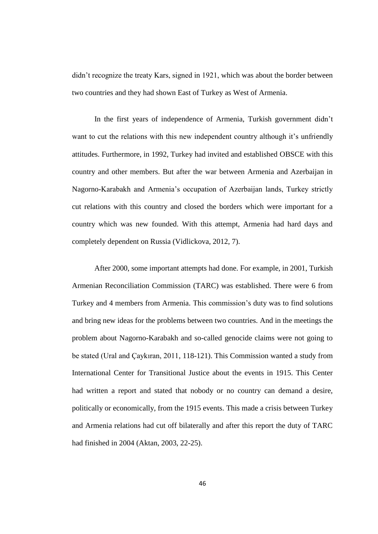didn't recognize the treaty Kars, signed in 1921, which was about the border between two countries and they had shown East of Turkey as West of Armenia.

In the first years of independence of Armenia, Turkish government didn't want to cut the relations with this new independent country although it's unfriendly attitudes. Furthermore, in 1992, Turkey had invited and established OBSCE with this country and other members. But after the war between Armenia and Azerbaijan in Nagorno-Karabakh and Armenia's occupation of Azerbaijan lands, Turkey strictly cut relations with this country and closed the borders which were important for a country which was new founded. With this attempt, Armenia had hard days and completely dependent on Russia (Vidlickova, 2012, 7).

After 2000, some important attempts had done. For example, in 2001, Turkish Armenian Reconciliation Commission (TARC) was established. There were 6 from Turkey and 4 members from Armenia. This commission's duty was to find solutions and bring new ideas for the problems between two countries. And in the meetings the problem about Nagorno-Karabakh and so-called genocide claims were not going to be stated (Ural and Çaykıran, 2011, 118-121). This Commission wanted a study from International Center for Transitional Justice about the events in 1915. This Center had written a report and stated that nobody or no country can demand a desire, politically or economically, from the 1915 events. This made a crisis between Turkey and Armenia relations had cut off bilaterally and after this report the duty of TARC had finished in 2004 (Aktan, 2003, 22-25).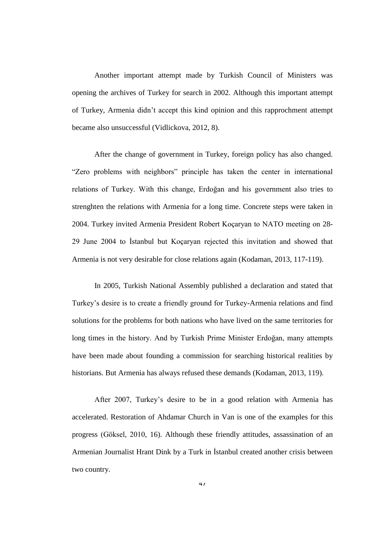Another important attempt made by Turkish Council of Ministers was opening the archives of Turkey for search in 2002. Although this important attempt of Turkey, Armenia didn't accept this kind opinion and this rapprochment attempt became also unsuccessful (Vidlickova, 2012, 8).

After the change of government in Turkey, foreign policy has also changed. "Zero problems with neighbors" principle has taken the center in international relations of Turkey. With this change, Erdoğan and his government also tries to strenghten the relations with Armenia for a long time. Concrete steps were taken in 2004. Turkey invited Armenia President Robert Koçaryan to NATO meeting on 28- 29 June 2004 to Ġstanbul but Koçaryan rejected this invitation and showed that Armenia is not very desirable for close relations again (Kodaman, 2013, 117-119).

In 2005, Turkish National Assembly published a declaration and stated that Turkey's desire is to create a friendly ground for Turkey-Armenia relations and find solutions for the problems for both nations who have lived on the same territories for long times in the history. And by Turkish Prime Minister Erdoğan, many attempts have been made about founding a commission for searching historical realities by historians. But Armenia has always refused these demands (Kodaman, 2013, 119).

After 2007, Turkey's desire to be in a good relation with Armenia has accelerated. Restoration of Ahdamar Church in Van is one of the examples for this progress (Göksel, 2010, 16). Although these friendly attitudes, assassination of an Armenian Journalist Hrant Dink by a Turk in Istanbul created another crisis between two country.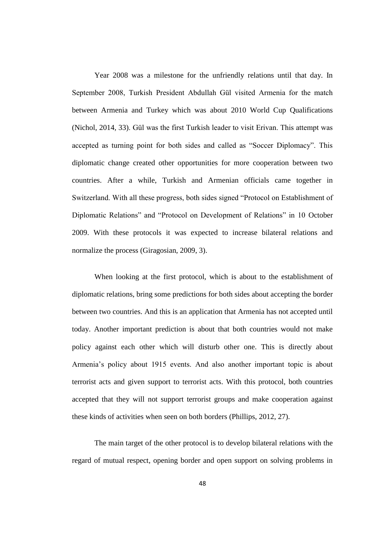Year 2008 was a milestone for the unfriendly relations until that day. In September 2008, Turkish President Abdullah Gül visited Armenia for the match between Armenia and Turkey which was about 2010 World Cup Qualifications (Nichol, 2014, 33). Gül was the first Turkish leader to visit Erivan. This attempt was accepted as turning point for both sides and called as "Soccer Diplomacy". This diplomatic change created other opportunities for more cooperation between two countries. After a while, Turkish and Armenian officials came together in Switzerland. With all these progress, both sides signed "Protocol on Establishment of Diplomatic Relations" and "Protocol on Development of Relations" in 10 October 2009. With these protocols it was expected to increase bilateral relations and normalize the process (Giragosian, 2009, 3).

When looking at the first protocol, which is about to the establishment of diplomatic relations, bring some predictions for both sides about accepting the border between two countries. And this is an application that Armenia has not accepted until today. Another important prediction is about that both countries would not make policy against each other which will disturb other one. This is directly about Armenia's policy about 1915 events. And also another important topic is about terrorist acts and given support to terrorist acts. With this protocol, both countries accepted that they will not support terrorist groups and make cooperation against these kinds of activities when seen on both borders (Phillips, 2012, 27).

The main target of the other protocol is to develop bilateral relations with the regard of mutual respect, opening border and open support on solving problems in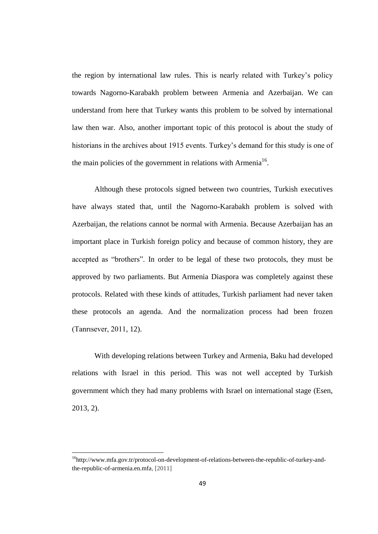the region by international law rules. This is nearly related with Turkey's policy towards Nagorno-Karabakh problem between Armenia and Azerbaijan. We can understand from here that Turkey wants this problem to be solved by international law then war. Also, another important topic of this protocol is about the study of historians in the archives about 1915 events. Turkey's demand for this study is one of the main policies of the government in relations with Armenia<sup>16</sup>.

Although these protocols signed between two countries, Turkish executives have always stated that, until the Nagorno-Karabakh problem is solved with Azerbaijan, the relations cannot be normal with Armenia. Because Azerbaijan has an important place in Turkish foreign policy and because of common history, they are accepted as "brothers". In order to be legal of these two protocols, they must be approved by two parliaments. But Armenia Diaspora was completely against these protocols. Related with these kinds of attitudes, Turkish parliament had never taken these protocols an agenda. And the normalization process had been frozen (Tanrısever, 2011, 12).

With developing relations between Turkey and Armenia, Baku had developed relations with Israel in this period. This was not well accepted by Turkish government which they had many problems with Israel on international stage (Esen, 2013, 2).

 $\overline{\phantom{a}}$ 

<sup>16</sup>[http://www.mfa.gov.tr/protocol-on-development-of-relations-between-the-republic-of-turkey-and](http://www.mfa.gov.tr/protocol-on-development-of-relations-between-the-republic-of-turkey-and-the-republic-of-armenia.en.mfa)[the-republic-of-armenia.en.mfa,](http://www.mfa.gov.tr/protocol-on-development-of-relations-between-the-republic-of-turkey-and-the-republic-of-armenia.en.mfa) [2011]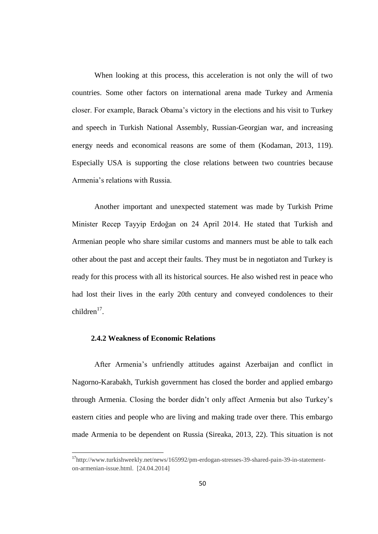When looking at this process, this acceleration is not only the will of two countries. Some other factors on international arena made Turkey and Armenia closer. For example, Barack Obama's victory in the elections and his visit to Turkey and speech in Turkish National Assembly, Russian-Georgian war, and increasing energy needs and economical reasons are some of them (Kodaman, 2013, 119). Especially USA is supporting the close relations between two countries because Armenia's relations with Russia.

Another important and unexpected statement was made by Turkish Prime Minister Recep Tayyip Erdoğan on 24 April 2014. He stated that Turkish and Armenian people who share similar customs and manners must be able to talk each other about the past and accept their faults. They must be in negotiaton and Turkey is ready for this process with all its historical sources. He also wished rest in peace who had lost their lives in the early 20th century and conveyed condolences to their  $children<sup>17</sup>$ .

#### **2.4.2 Weakness of Economic Relations**

 $\overline{\phantom{a}}$ 

After Armenia's unfriendly attitudes against Azerbaijan and conflict in Nagorno-Karabakh, Turkish government has closed the border and applied embargo through Armenia. Closing the border didn't only affect Armenia but also Turkey's eastern cities and people who are living and making trade over there. This embargo made Armenia to be dependent on Russia (Sireaka, 2013, 22). This situation is not

<sup>&</sup>lt;sup>17</sup>http://www.turkishweekly.net/news/165992/pm-erdogan-stresses-39-shared-pain-39-in-statementon-armenian-issue.html. [24.04.2014]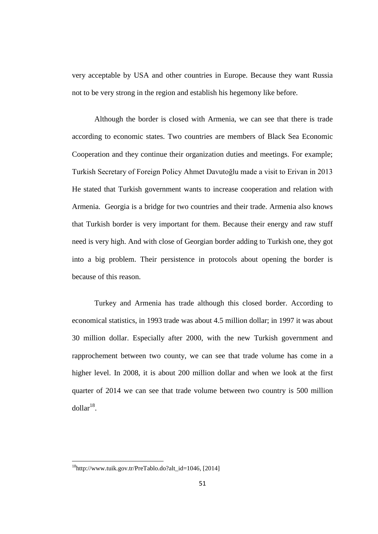very acceptable by USA and other countries in Europe. Because they want Russia not to be very strong in the region and establish his hegemony like before.

Although the border is closed with Armenia, we can see that there is trade according to economic states. Two countries are members of Black Sea Economic Cooperation and they continue their organization duties and meetings. For example; Turkish Secretary of Foreign Policy Ahmet Davutoğlu made a visit to Erivan in 2013 He stated that Turkish government wants to increase cooperation and relation with Armenia. Georgia is a bridge for two countries and their trade. Armenia also knows that Turkish border is very important for them. Because their energy and raw stuff need is very high. And with close of Georgian border adding to Turkish one, they got into a big problem. Their persistence in protocols about opening the border is because of this reason.

Turkey and Armenia has trade although this closed border. According to economical statistics, in 1993 trade was about 4.5 million dollar; in 1997 it was about 30 million dollar. Especially after 2000, with the new Turkish government and rapprochement between two county, we can see that trade volume has come in a higher level. In 2008, it is about 200 million dollar and when we look at the first quarter of 2014 we can see that trade volume between two country is 500 million  $d$ ollar<sup>18</sup>.

 $18$ [http://www.tuik.gov.tr/PreTablo.do?alt\\_id=1046,](http://www.tuik.gov.tr/PreTablo.do?alt_id=1046) [2014]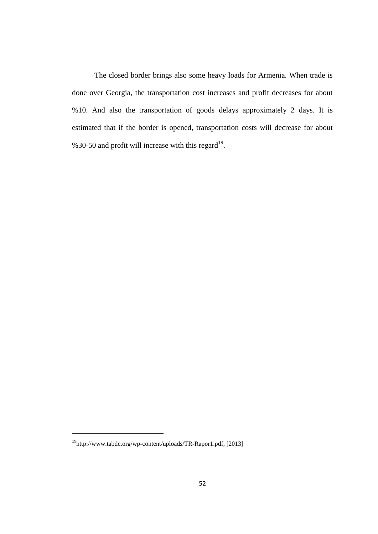The closed border brings also some heavy loads for Armenia. When trade is done over Georgia, the transportation cost increases and profit decreases for about %10. And also the transportation of goods delays approximately 2 days. It is estimated that if the border is opened, transportation costs will decrease for about %30-50 and profit will increase with this regard<sup>19</sup>.

<sup>19</sup>[http://www.tabdc.org/wp-content/uploads/TR-Rapor1.pdf,](http://www.tabdc.org/wp-content/uploads/TR-Rapor1.pdf) [2013]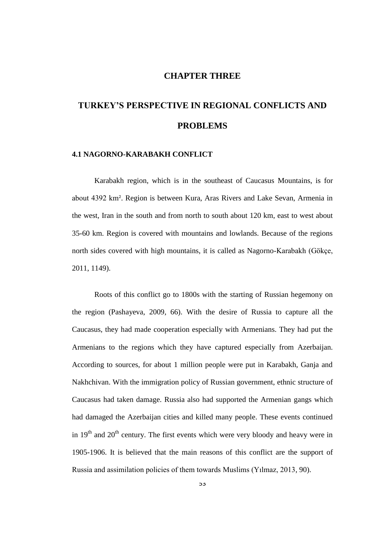# **CHAPTER THREE**

# **TURKEY'S PERSPECTIVE IN REGIONAL CONFLICTS AND PROBLEMS**

## **4.1 NAGORNO-KARABAKH CONFLICT**

Karabakh region, which is in the southeast of Caucasus Mountains, is for about 4392 km². Region is between Kura, Aras Rivers and Lake Sevan, Armenia in the west, Iran in the south and from north to south about 120 km, east to west about 35-60 km. Region is covered with mountains and lowlands. Because of the regions north sides covered with high mountains, it is called as Nagorno-Karabakh (Gökçe, 2011, 1149).

Roots of this conflict go to 1800s with the starting of Russian hegemony on the region (Pashayeva, 2009, 66). With the desire of Russia to capture all the Caucasus, they had made cooperation especially with Armenians. They had put the Armenians to the regions which they have captured especially from Azerbaijan. According to sources, for about 1 million people were put in Karabakh, Ganja and Nakhchivan. With the immigration policy of Russian government, ethnic structure of Caucasus had taken damage. Russia also had supported the Armenian gangs which had damaged the Azerbaijan cities and killed many people. These events continued in  $19<sup>th</sup>$  and  $20<sup>th</sup>$  century. The first events which were very bloody and heavy were in 1905-1906. It is believed that the main reasons of this conflict are the support of Russia and assimilation policies of them towards Muslims (Yılmaz, 2013, 90).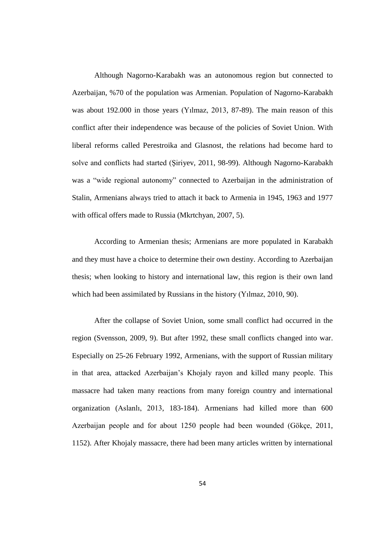Although Nagorno-Karabakh was an autonomous region but connected to Azerbaijan, %70 of the population was Armenian. Population of Nagorno-Karabakh was about 192.000 in those years (Yılmaz, 2013, 87-89). The main reason of this conflict after their independence was because of the policies of Soviet Union. With liberal reforms called Perestroika and Glasnost, the relations had become hard to solve and conflicts had started (Şiriyev, 2011, 98-99). Although Nagorno-Karabakh was a "wide regional autonomy" connected to Azerbaijan in the administration of Stalin, Armenians always tried to attach it back to Armenia in 1945, 1963 and 1977 with offical offers made to Russia (Mkrtchyan, 2007, 5).

According to Armenian thesis; Armenians are more populated in Karabakh and they must have a choice to determine their own destiny. According to Azerbaijan thesis; when looking to history and international law, this region is their own land which had been assimilated by Russians in the history (Yılmaz, 2010, 90).

After the collapse of Soviet Union, some small conflict had occurred in the region (Svensson, 2009, 9). But after 1992, these small conflicts changed into war. Especially on 25-26 February 1992, Armenians, with the support of Russian military in that area, attacked Azerbaijan's Khojaly rayon and killed many people. This massacre had taken many reactions from many foreign country and international organization (Aslanlı, 2013, 183-184). Armenians had killed more than 600 Azerbaijan people and for about 1250 people had been wounded (Gökçe, 2011, 1152). After Khojaly massacre, there had been many articles written by international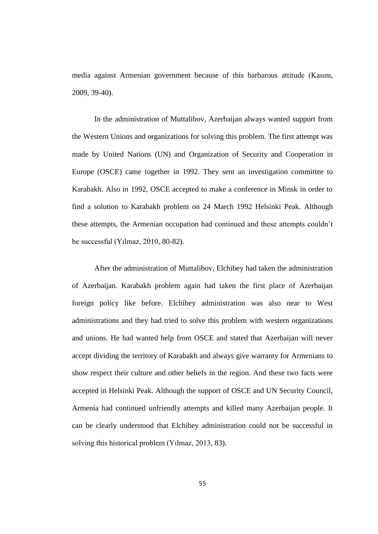media against Armenian government because of this barbarous attitude (Kasım, 2009, 39-40).

In the administration of Muttalibov, Azerbaijan always wanted support from the Western Unions and organizations for solving this problem. The first attempt was made by United Nations (UN) and Organization of Security and Cooperation in Europe (OSCE) came together in 1992. They sent an investigation committee to Karabakh. Also in 1992, OSCE accepted to make a conference in Minsk in order to find a solution to Karabakh problem on 24 March 1992 Helsinki Peak. Although these attempts, the Armenian occupation had continued and these attempts couldn't be successful (Yılmaz, 2010, 80-82).

After the administration of Muttalibov, Elchibey had taken the administration of Azerbaijan. Karabakh problem again had taken the first place of Azerbaijan foreign policy like before. Elchibey administration was also near to West administrations and they had tried to solve this problem with western organizations and unions. He had wanted help from OSCE and stated that Azerbaijan will never accept dividing the territory of Karabakh and always give warranty for Armenians to show respect their culture and other beliefs in the region. And these two facts were accepted in Helsinki Peak. Although the support of OSCE and UN Security Council, Armenia had continued unfriendly attempts and killed many Azerbaijan people. It can be clearly understood that Elchibey administration could not be successful in solving this historical problem (Yılmaz, 2013, 83).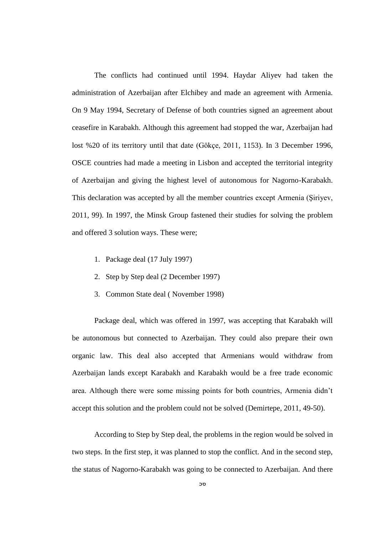The conflicts had continued until 1994. Haydar Aliyev had taken the administration of Azerbaijan after Elchibey and made an agreement with Armenia. On 9 May 1994, Secretary of Defense of both countries signed an agreement about ceasefire in Karabakh. Although this agreement had stopped the war, Azerbaijan had lost %20 of its territory until that date (Gökçe, 2011, 1153). In 3 December 1996, OSCE countries had made a meeting in Lisbon and accepted the territorial integrity of Azerbaijan and giving the highest level of autonomous for Nagorno-Karabakh. This declaration was accepted by all the member countries except Armenia (Siriyev, 2011, 99). In 1997, the Minsk Group fastened their studies for solving the problem and offered 3 solution ways. These were;

- 1. Package deal (17 July 1997)
- 2. Step by Step deal (2 December 1997)
- 3. Common State deal ( November 1998)

Package deal, which was offered in 1997, was accepting that Karabakh will be autonomous but connected to Azerbaijan. They could also prepare their own organic law. This deal also accepted that Armenians would withdraw from Azerbaijan lands except Karabakh and Karabakh would be a free trade economic area. Although there were some missing points for both countries, Armenia didn't accept this solution and the problem could not be solved (Demirtepe, 2011, 49-50).

According to Step by Step deal, the problems in the region would be solved in two steps. In the first step, it was planned to stop the conflict. And in the second step, the status of Nagorno-Karabakh was going to be connected to Azerbaijan. And there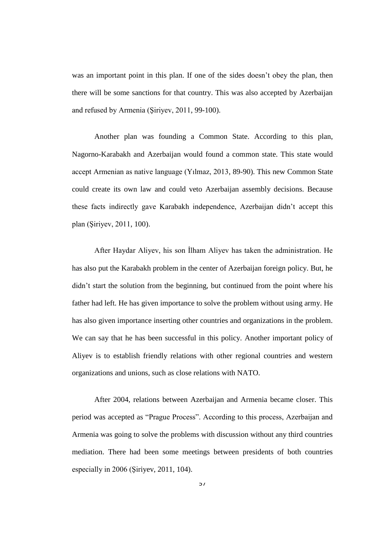was an important point in this plan. If one of the sides doesn't obey the plan, then there will be some sanctions for that country. This was also accepted by Azerbaijan and refused by Armenia (Şiriyev, 2011, 99-100).

Another plan was founding a Common State. According to this plan, Nagorno-Karabakh and Azerbaijan would found a common state. This state would accept Armenian as native language (Yılmaz, 2013, 89-90). This new Common State could create its own law and could veto Azerbaijan assembly decisions. Because these facts indirectly gave Karabakh independence, Azerbaijan didn't accept this plan (ġiriyev, 2011, 100).

After Haydar Aliyev, his son İlham Aliyev has taken the administration. He has also put the Karabakh problem in the center of Azerbaijan foreign policy. But, he didn't start the solution from the beginning, but continued from the point where his father had left. He has given importance to solve the problem without using army. He has also given importance inserting other countries and organizations in the problem. We can say that he has been successful in this policy. Another important policy of Aliyev is to establish friendly relations with other regional countries and western organizations and unions, such as close relations with NATO.

After 2004, relations between Azerbaijan and Armenia became closer. This period was accepted as "Prague Process". According to this process, Azerbaijan and Armenia was going to solve the problems with discussion without any third countries mediation. There had been some meetings between presidents of both countries especially in  $2006$  (Siriyev,  $2011$ ,  $104$ ).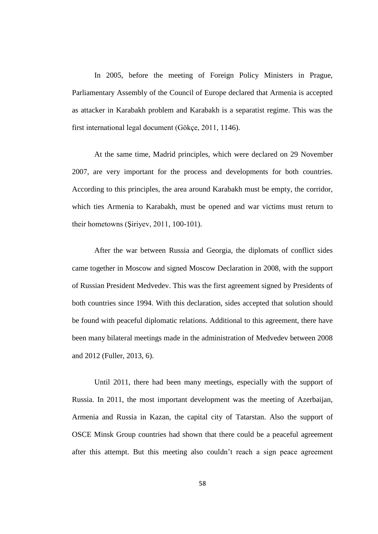In 2005, before the meeting of Foreign Policy Ministers in Prague, Parliamentary Assembly of the Council of Europe declared that Armenia is accepted as attacker in Karabakh problem and Karabakh is a separatist regime. This was the first international legal document (Gökçe, 2011, 1146).

At the same time, Madrid principles, which were declared on 29 November 2007, are very important for the process and developments for both countries. According to this principles, the area around Karabakh must be empty, the corridor, which ties Armenia to Karabakh, must be opened and war victims must return to their hometowns (ġiriyev, 2011, 100-101).

After the war between Russia and Georgia, the diplomats of conflict sides came together in Moscow and signed Moscow Declaration in 2008, with the support of Russian President Medvedev. This was the first agreement signed by Presidents of both countries since 1994. With this declaration, sides accepted that solution should be found with peaceful diplomatic relations. Additional to this agreement, there have been many bilateral meetings made in the administration of Medvedev between 2008 and 2012 (Fuller, 2013, 6).

Until 2011, there had been many meetings, especially with the support of Russia. In 2011, the most important development was the meeting of Azerbaijan, Armenia and Russia in Kazan, the capital city of Tatarstan. Also the support of OSCE Minsk Group countries had shown that there could be a peaceful agreement after this attempt. But this meeting also couldn't reach a sign peace agreement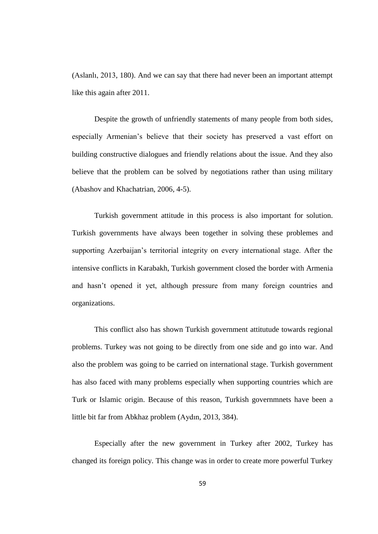(Aslanlı, 2013, 180). And we can say that there had never been an important attempt like this again after 2011.

Despite the growth of unfriendly statements of many people from both sides, especially Armenian's believe that their society has preserved a vast effort on building constructive dialogues and friendly relations about the issue. And they also believe that the problem can be solved by negotiations rather than using military (Abashov and Khachatrian, 2006, 4-5).

Turkish government attitude in this process is also important for solution. Turkish governments have always been together in solving these problemes and supporting Azerbaijan's territorial integrity on every international stage. After the intensive conflicts in Karabakh, Turkish government closed the border with Armenia and hasn't opened it yet, although pressure from many foreign countries and organizations.

This conflict also has shown Turkish government attitutude towards regional problems. Turkey was not going to be directly from one side and go into war. And also the problem was going to be carried on international stage. Turkish government has also faced with many problems especially when supporting countries which are Turk or Islamic origin. Because of this reason, Turkish governmnets have been a little bit far from Abkhaz problem (Aydın, 2013, 384).

Especially after the new government in Turkey after 2002, Turkey has changed its foreign policy. This change was in order to create more powerful Turkey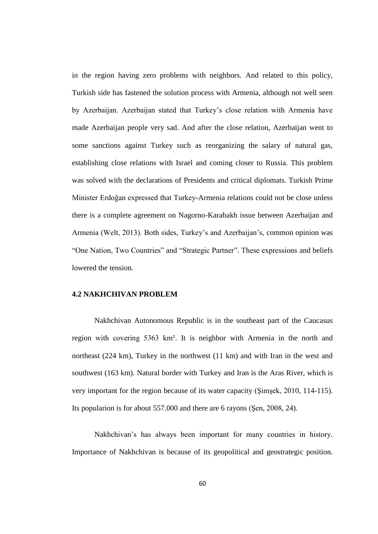in the region having zero problems with neighbors. And related to this policy, Turkish side has fastened the solution process with Armenia, although not well seen by Azerbaijan. Azerbaijan stated that Turkey's close relation with Armenia have made Azerbaijan people very sad. And after the close relation, Azerbaijan went to some sanctions against Turkey such as reorganizing the salary of natural gas, establishing close relations with Israel and coming closer to Russia. This problem was solved with the declarations of Presidents and critical diplomats. Turkish Prime Minister Erdoğan expressed that Turkey-Armenia relations could not be close unless there is a complete agreement on Nagorno-Karabakh issue between Azerbaijan and Armenia (Welt, 2013). Both sides, Turkey's and Azerbaijan's, common opinion was "One Nation, Two Countries" and "Strategic Partner". These expressions and beliefs lowered the tension.

#### **4.2 NAKHCHIVAN PROBLEM**

Nakhchivan Autonomous Republic is in the southeast part of the Caucasus region with covering 5363 km². It is neighbor with Armenia in the north and northeast (224 km), Turkey in the northwest (11 km) and with Iran in the west and southwest (163 km). Natural border with Turkey and Iran is the Aras River, which is very important for the region because of its water capacity (Simşek, 2010, 114-115). Its popularion is for about  $557.000$  and there are 6 rayons (Sen, 2008, 24).

Nakhchivan's has always been important for many countries in history. Importance of Nakhchivan is because of its geopolitical and geostrategic position.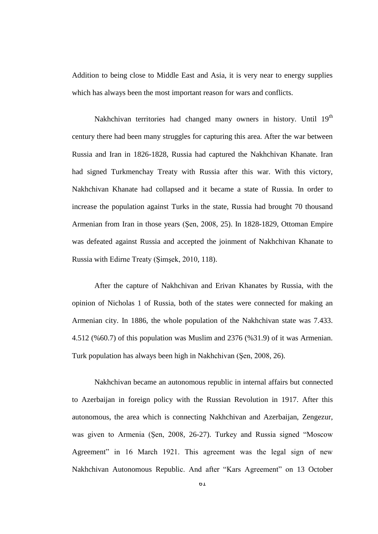Addition to being close to Middle East and Asia, it is very near to energy supplies which has always been the most important reason for wars and conflicts.

Nakhchivan territories had changed many owners in history. Until  $19<sup>th</sup>$ century there had been many struggles for capturing this area. After the war between Russia and Iran in 1826-1828, Russia had captured the Nakhchivan Khanate. Iran had signed Turkmenchay Treaty with Russia after this war. With this victory, Nakhchivan Khanate had collapsed and it became a state of Russia. In order to increase the population against Turks in the state, Russia had brought 70 thousand Armenian from Iran in those years (ġen, 2008, 25). In 1828-1829, Ottoman Empire was defeated against Russia and accepted the joinment of Nakhchivan Khanate to Russia with Edirne Treaty (Şimşek, 2010, 118).

After the capture of Nakhchivan and Erivan Khanates by Russia, with the opinion of Nicholas 1 of Russia, both of the states were connected for making an Armenian city. In 1886, the whole population of the Nakhchivan state was 7.433. 4.512 (%60.7) of this population was Muslim and 2376 (%31.9) of it was Armenian. Turk population has always been high in Nakhchivan (Şen, 2008, 26).

Nakhchivan became an autonomous republic in internal affairs but connected to Azerbaijan in foreign policy with the Russian Revolution in 1917. After this autonomous, the area which is connecting Nakhchivan and Azerbaijan, Zengezur, was given to Armenia (Şen, 2008, 26-27). Turkey and Russia signed "Moscow Agreement" in 16 March 1921. This agreement was the legal sign of new Nakhchivan Autonomous Republic. And after "Kars Agreement" on 13 October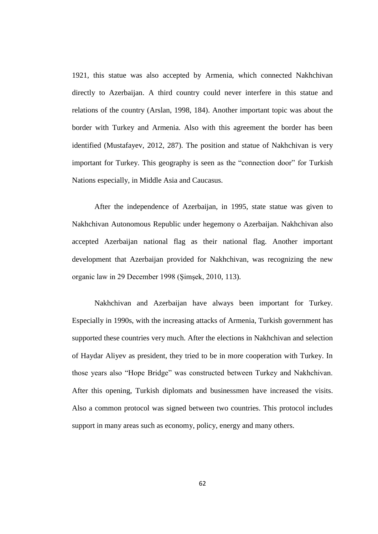1921, this statue was also accepted by Armenia, which connected Nakhchivan directly to Azerbaijan. A third country could never interfere in this statue and relations of the country (Arslan, 1998, 184). Another important topic was about the border with Turkey and Armenia. Also with this agreement the border has been identified (Mustafayev, 2012, 287). The position and statue of Nakhchivan is very important for Turkey. This geography is seen as the "connection door" for Turkish Nations especially, in Middle Asia and Caucasus.

After the independence of Azerbaijan, in 1995, state statue was given to Nakhchivan Autonomous Republic under hegemony o Azerbaijan. Nakhchivan also accepted Azerbaijan national flag as their national flag. Another important development that Azerbaijan provided for Nakhchivan, was recognizing the new organic law in 29 December 1998 (Şimşek, 2010, 113).

Nakhchivan and Azerbaijan have always been important for Turkey. Especially in 1990s, with the increasing attacks of Armenia, Turkish government has supported these countries very much. After the elections in Nakhchivan and selection of Haydar Aliyev as president, they tried to be in more cooperation with Turkey. In those years also "Hope Bridge" was constructed between Turkey and Nakhchivan. After this opening, Turkish diplomats and businessmen have increased the visits. Also a common protocol was signed between two countries. This protocol includes support in many areas such as economy, policy, energy and many others.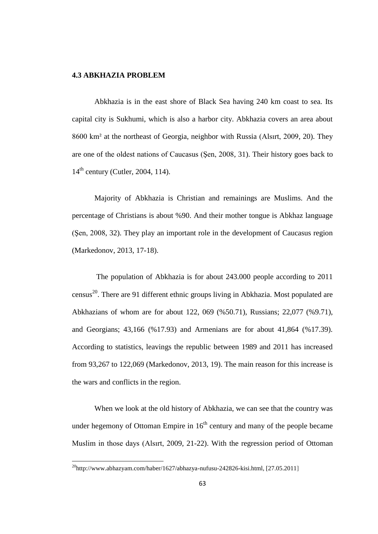# **4.3 ABKHAZIA PROBLEM**

Abkhazia is in the east shore of Black Sea having 240 km coast to sea. Its capital city is Sukhumi, which is also a harbor city. Abkhazia covers an area about 8600 km² at the northeast of Georgia, neighbor with Russia (Alsırt, 2009, 20). They are one of the oldest nations of Caucasus (Sen, 2008, 31). Their history goes back to  $14<sup>th</sup>$  century (Cutler, 2004, 114).

Majority of Abkhazia is Christian and remainings are Muslims. And the percentage of Christians is about %90. And their mother tongue is Abkhaz language (Sen, 2008, 32). They play an important role in the development of Caucasus region (Markedonov, 2013, 17-18).

The population of Abkhazia is for about 243.000 people according to 2011 census<sup>20</sup>. There are 91 different ethnic groups living in Abkhazia. Most populated are Abkhazians of whom are for about 122, 069 (%50.71), Russians; 22,077 (%9.71), and Georgians; 43,166 (%17.93) and Armenians are for about 41,864 (%17.39). According to statistics, leavings the republic between 1989 and 2011 has increased from 93,267 to 122,069 (Markedonov, 2013, 19). The main reason for this increase is the wars and conflicts in the region.

When we look at the old history of Abkhazia, we can see that the country was under hegemony of Ottoman Empire in  $16<sup>th</sup>$  century and many of the people became Muslim in those days (Alsırt, 2009, 21-22). With the regression period of Ottoman

 $\overline{a}$ 

 $^{20}$ [http://www.abhazyam.com/haber/1627/abhazya-nufusu-242826-kisi.html,](http://www.abhazyam.com/haber/1627/abhazya-nufusu-242826-kisi.html) [27.05.2011]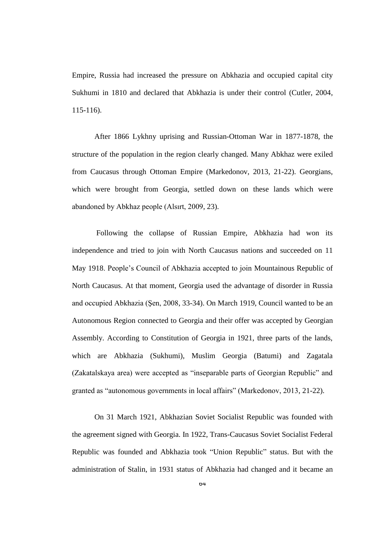Empire, Russia had increased the pressure on Abkhazia and occupied capital city Sukhumi in 1810 and declared that Abkhazia is under their control (Cutler, 2004, 115-116).

After 1866 Lykhny uprising and Russian-Ottoman War in 1877-1878, the structure of the population in the region clearly changed. Many Abkhaz were exiled from Caucasus through Ottoman Empire (Markedonov, 2013, 21-22). Georgians, which were brought from Georgia, settled down on these lands which were abandoned by Abkhaz people (Alsırt, 2009, 23).

Following the collapse of Russian Empire, Abkhazia had won its independence and tried to join with North Caucasus nations and succeeded on 11 May 1918. People's Council of Abkhazia accepted to join Mountainous Republic of North Caucasus. At that moment, Georgia used the advantage of disorder in Russia and occupied Abkhazia (Sen, 2008, 33-34). On March 1919, Council wanted to be an Autonomous Region connected to Georgia and their offer was accepted by Georgian Assembly. According to Constitution of Georgia in 1921, three parts of the lands, which are Abkhazia (Sukhumi), Muslim Georgia (Batumi) and Zagatala (Zakatalskaya area) were accepted as "inseparable parts of Georgian Republic" and granted as "autonomous governments in local affairs" (Markedonov, 2013, 21-22).

On 31 March 1921, Abkhazian Soviet Socialist Republic was founded with the agreement signed with Georgia. In 1922, Trans-Caucasus Soviet Socialist Federal Republic was founded and Abkhazia took "Union Republic" status. But with the administration of Stalin, in 1931 status of Abkhazia had changed and it became an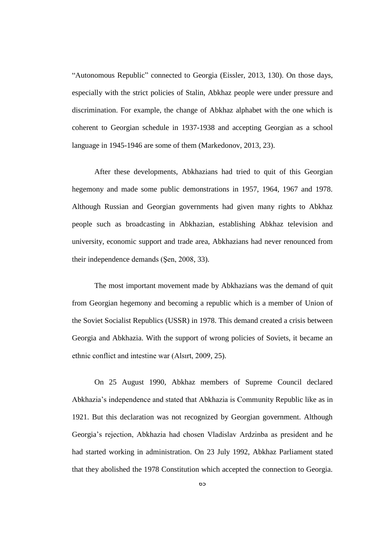"Autonomous Republic" connected to Georgia (Eissler, 2013, 130). On those days, especially with the strict policies of Stalin, Abkhaz people were under pressure and discrimination. For example, the change of Abkhaz alphabet with the one which is coherent to Georgian schedule in 1937-1938 and accepting Georgian as a school language in 1945-1946 are some of them (Markedonov, 2013, 23).

After these developments, Abkhazians had tried to quit of this Georgian hegemony and made some public demonstrations in 1957, 1964, 1967 and 1978. Although Russian and Georgian governments had given many rights to Abkhaz people such as broadcasting in Abkhazian, establishing Abkhaz television and university, economic support and trade area, Abkhazians had never renounced from their independence demands (Şen, 2008, 33).

The most important movement made by Abkhazians was the demand of quit from Georgian hegemony and becoming a republic which is a member of Union of the Soviet Socialist Republics (USSR) in 1978. This demand created a crisis between Georgia and Abkhazia. With the support of wrong policies of Soviets, it became an ethnic conflict and intestine war (Alsırt, 2009, 25).

On 25 August 1990, Abkhaz members of Supreme Council declared Abkhazia's independence and stated that Abkhazia is Community Republic like as in 1921. But this declaration was not recognized by Georgian government. Although Georgia's rejection, Abkhazia had chosen Vladislav Ardzinba as president and he had started working in administration. On 23 July 1992, Abkhaz Parliament stated that they abolished the 1978 Constitution which accepted the connection to Georgia.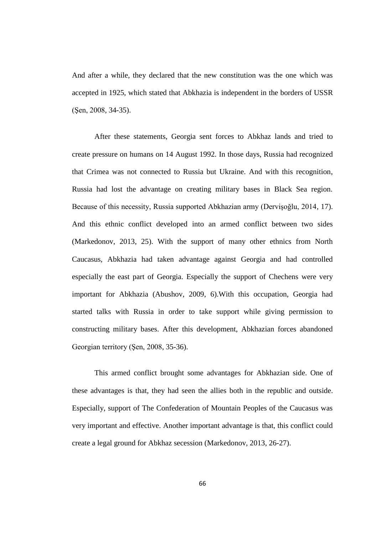And after a while, they declared that the new constitution was the one which was accepted in 1925, which stated that Abkhazia is independent in the borders of USSR (Sen, 2008, 34-35).

After these statements, Georgia sent forces to Abkhaz lands and tried to create pressure on humans on 14 August 1992. In those days, Russia had recognized that Crimea was not connected to Russia but Ukraine. And with this recognition, Russia had lost the advantage on creating military bases in Black Sea region. Because of this necessity, Russia supported Abkhazian army (Dervisoğlu, 2014, 17). And this ethnic conflict developed into an armed conflict between two sides (Markedonov, 2013, 25). With the support of many other ethnics from North Caucasus, Abkhazia had taken advantage against Georgia and had controlled especially the east part of Georgia. Especially the support of Chechens were very important for Abkhazia (Abushov, 2009, 6).With this occupation, Georgia had started talks with Russia in order to take support while giving permission to constructing military bases. After this development, Abkhazian forces abandoned Georgian territory (Sen, 2008, 35-36).

This armed conflict brought some advantages for Abkhazian side. One of these advantages is that, they had seen the allies both in the republic and outside. Especially, support of The Confederation of Mountain Peoples of the Caucasus was very important and effective. Another important advantage is that, this conflict could create a legal ground for Abkhaz secession (Markedonov, 2013, 26-27).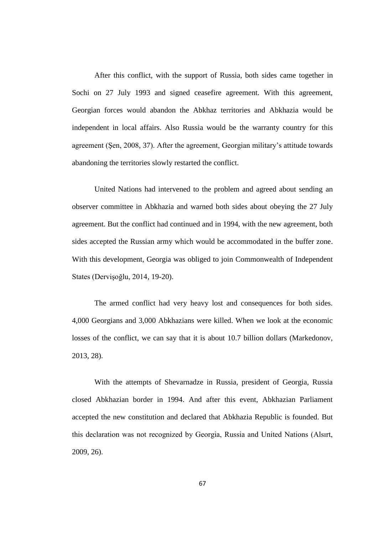After this conflict, with the support of Russia, both sides came together in Sochi on 27 July 1993 and signed ceasefire agreement. With this agreement, Georgian forces would abandon the Abkhaz territories and Abkhazia would be independent in local affairs. Also Russia would be the warranty country for this agreement (ġen, 2008, 37). After the agreement, Georgian military's attitude towards abandoning the territories slowly restarted the conflict.

United Nations had intervened to the problem and agreed about sending an observer committee in Abkhazia and warned both sides about obeying the 27 July agreement. But the conflict had continued and in 1994, with the new agreement, both sides accepted the Russian army which would be accommodated in the buffer zone. With this development, Georgia was obliged to join Commonwealth of Independent States (Dervişoğlu, 2014, 19-20).

The armed conflict had very heavy lost and consequences for both sides. 4,000 Georgians and 3,000 Abkhazians were killed. When we look at the economic losses of the conflict, we can say that it is about 10.7 billion dollars (Markedonov, 2013, 28).

With the attempts of Shevarnadze in Russia, president of Georgia, Russia closed Abkhazian border in 1994. And after this event, Abkhazian Parliament accepted the new constitution and declared that Abkhazia Republic is founded. But this declaration was not recognized by Georgia, Russia and United Nations (Alsırt, 2009, 26).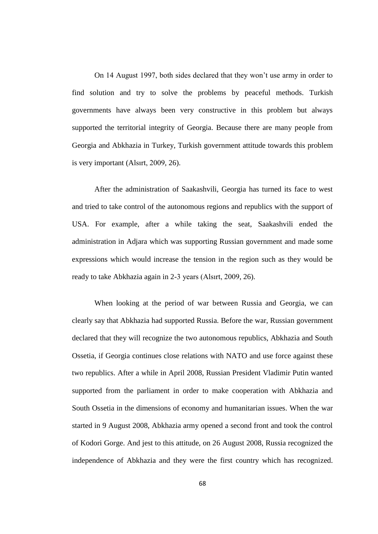On 14 August 1997, both sides declared that they won't use army in order to find solution and try to solve the problems by peaceful methods. Turkish governments have always been very constructive in this problem but always supported the territorial integrity of Georgia. Because there are many people from Georgia and Abkhazia in Turkey, Turkish government attitude towards this problem is very important (Alsırt, 2009, 26).

After the administration of Saakashvili, Georgia has turned its face to west and tried to take control of the autonomous regions and republics with the support of USA. For example, after a while taking the seat, Saakashvili ended the administration in Adjara which was supporting Russian government and made some expressions which would increase the tension in the region such as they would be ready to take Abkhazia again in 2-3 years (Alsırt, 2009, 26).

When looking at the period of war between Russia and Georgia, we can clearly say that Abkhazia had supported Russia. Before the war, Russian government declared that they will recognize the two autonomous republics, Abkhazia and South Ossetia, if Georgia continues close relations with NATO and use force against these two republics. After a while in April 2008, Russian President Vladimir Putin wanted supported from the parliament in order to make cooperation with Abkhazia and South Ossetia in the dimensions of economy and humanitarian issues. When the war started in 9 August 2008, Abkhazia army opened a second front and took the control of Kodori Gorge. And jest to this attitude, on 26 August 2008, Russia recognized the independence of Abkhazia and they were the first country which has recognized.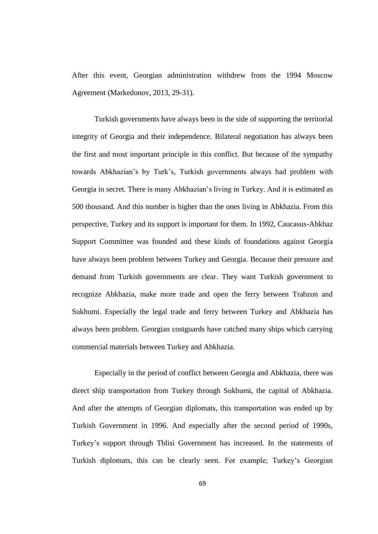After this event, Georgian administration withdrew from the 1994 Moscow Agreement (Markedonov, 2013, 29-31).

Turkish governments have always been in the side of supporting the territorial integrity of Georgia and their independence. Bilateral negotiation has always been the first and most important principle in this conflict. But because of the sympathy towards Abkhazian's by Turk's, Turkish governments always had problem with Georgia in secret. There is many Abkhazian's living in Turkey. And it is estimated as 500 thousand. And this number is higher than the ones living in Abkhazia. From this perspective, Turkey and its support is important for them. In 1992, Caucasus-Abkhaz Support Committee was founded and these kinds of foundations against Georgia have always been problem between Turkey and Georgia. Because their pressure and demand from Turkish governments are clear. They want Turkish government to recognize Abkhazia, make more trade and open the ferry between Trabzon and Sukhumi. Especially the legal trade and ferry between Turkey and Abkhazia has always been problem. Georgian costguards have catched many ships which carrying commercial materials between Turkey and Abkhazia.

Especially in the period of conflict between Georgia and Abkhazia, there was direct ship transportation from Turkey through Sukhumi, the capital of Abkhazia. And after the attempts of Georgian diplomats, this transportation was ended up by Turkish Government in 1996. And especially after the second period of 1990s, Turkey's support through Tblisi Government has increased. In the statements of Turkish diplomats, this can be clearly seen. For example; Turkey's Georgian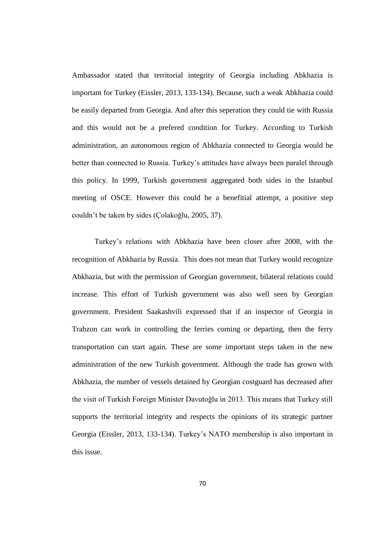Ambassador stated that territorial integrity of Georgia including Abkhazia is important for Turkey (Eissler, 2013, 133-134). Because, such a weak Abkhazia could be easily departed from Georgia. And after this seperation they could tie with Russia and this would not be a prefered condition for Turkey. According to Turkish administration, an autonomous region of Abkhazia connected to Georgia would be better than connected to Russia. Turkey's attitudes have always been paralel through this policy. In 1999, Turkish government aggregated both sides in the Istanbul meeting of OSCE. However this could be a benefitial attempt, a positive step couldn't be taken by sides (Çolakoğlu, 2005, 37).

Turkey's relations with Abkhazia have been closer after 2008, with the recognition of Abkhazia by Russia. This does not mean that Turkey would recognize Abkhazia, but with the permission of Georgian government, bilateral relations could increase. This effort of Turkish government was also well seen by Georgian government. President Saakashvili expressed that if an inspector of Georgia in Trabzon can work in controlling the ferries coming or departing, then the ferry transportation can start again. These are some important steps taken in the new administration of the new Turkish government. Although the trade has grown with Abkhazia, the number of vessels detained by Georgian costguard has decreased after the visit of Turkish Foreign Minister Davutoğlu in 2013. This means that Turkey still supports the territorial integrity and respects the opinions of its strategic partner Georgia (Eissler, 2013, 133-134). Turkey's NATO membership is also important in this issue.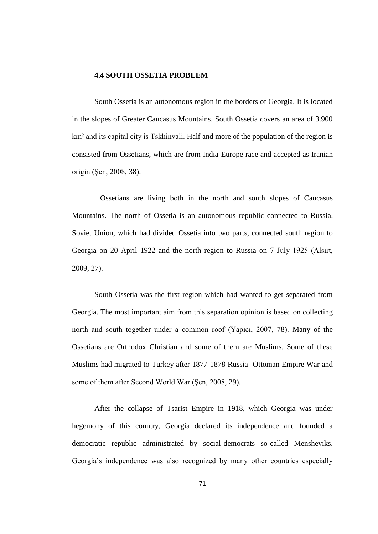### **4.4 SOUTH OSSETIA PROBLEM**

South Ossetia is an autonomous region in the borders of Georgia. It is located in the slopes of Greater Caucasus Mountains. South Ossetia covers an area of 3.900 km² and its capital city is Tskhinvali. Half and more of the population of the region is consisted from Ossetians, which are from India-Europe race and accepted as Iranian origin (Sen, 2008, 38).

 Ossetians are living both in the north and south slopes of Caucasus Mountains. The north of Ossetia is an autonomous republic connected to Russia. Soviet Union, which had divided Ossetia into two parts, connected south region to Georgia on 20 April 1922 and the north region to Russia on 7 July 1925 (Alsırt, 2009, 27).

South Ossetia was the first region which had wanted to get separated from Georgia. The most important aim from this separation opinion is based on collecting north and south together under a common roof (Yapıcı, 2007, 78). Many of the Ossetians are Orthodox Christian and some of them are Muslims. Some of these Muslims had migrated to Turkey after 1877-1878 Russia- Ottoman Empire War and some of them after Second World War (Şen, 2008, 29).

After the collapse of Tsarist Empire in 1918, which Georgia was under hegemony of this country, Georgia declared its independence and founded a democratic republic administrated by social-democrats so-called Mensheviks. Georgia's independence was also recognized by many other countries especially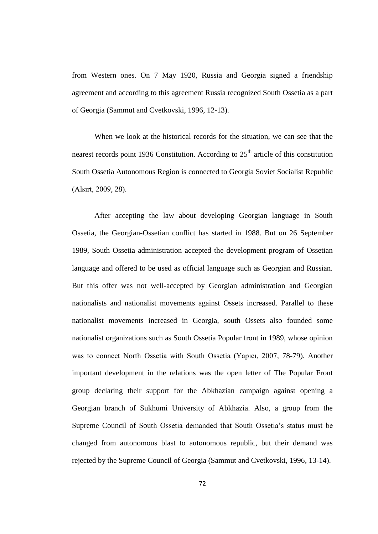from Western ones. On 7 May 1920, Russia and Georgia signed a friendship agreement and according to this agreement Russia recognized South Ossetia as a part of Georgia (Sammut and Cvetkovski, 1996, 12-13).

When we look at the historical records for the situation, we can see that the nearest records point 1936 Constitution. According to  $25<sup>th</sup>$  article of this constitution South Ossetia Autonomous Region is connected to Georgia Soviet Socialist Republic (Alsırt, 2009, 28).

After accepting the law about developing Georgian language in South Ossetia, the Georgian-Ossetian conflict has started in 1988. But on 26 September 1989, South Ossetia administration accepted the development program of Ossetian language and offered to be used as official language such as Georgian and Russian. But this offer was not well-accepted by Georgian administration and Georgian nationalists and nationalist movements against Ossets increased. Parallel to these nationalist movements increased in Georgia, south Ossets also founded some nationalist organizations such as South Ossetia Popular front in 1989, whose opinion was to connect North Ossetia with South Ossetia (Yapıcı, 2007, 78-79). Another important development in the relations was the open letter of The Popular Front group declaring their support for the Abkhazian campaign against opening a Georgian branch of Sukhumi University of Abkhazia. Also, a group from the Supreme Council of South Ossetia demanded that South Ossetia's status must be changed from autonomous blast to autonomous republic, but their demand was rejected by the Supreme Council of Georgia (Sammut and Cvetkovski, 1996, 13-14).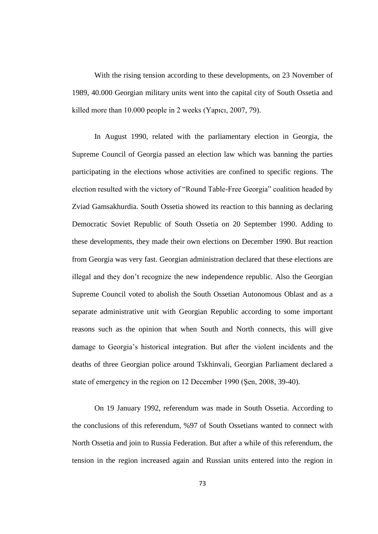With the rising tension according to these developments, on 23 November of 1989, 40.000 Georgian military units went into the capital city of South Ossetia and killed more than 10.000 people in 2 weeks (Yapıcı, 2007, 79).

In August 1990, related with the parliamentary election in Georgia, the Supreme Council of Georgia passed an election law which was banning the parties participating in the elections whose activities are confined to specific regions. The election resulted with the victory of "Round Table-Free Georgia" coalition headed by Zviad Gamsakhurdia. South Ossetia showed its reaction to this banning as declaring Democratic Soviet Republic of South Ossetia on 20 September 1990. Adding to these developments, they made their own elections on December 1990. But reaction from Georgia was very fast. Georgian administration declared that these elections are illegal and they don't recognize the new independence republic. Also the Georgian Supreme Council voted to abolish the South Ossetian Autonomous Oblast and as a separate administrative unit with Georgian Republic according to some important reasons such as the opinion that when South and North connects, this will give damage to Georgia's historical integration. But after the violent incidents and the deaths of three Georgian police around Tskhinvali, Georgian Parliament declared a state of emergency in the region on 12 December 1990 (Sen, 2008, 39-40).

On 19 January 1992, referendum was made in South Ossetia. According to the conclusions of this referendum, %97 of South Ossetians wanted to connect with North Ossetia and join to Russia Federation. But after a while of this referendum, the tension in the region increased again and Russian units entered into the region in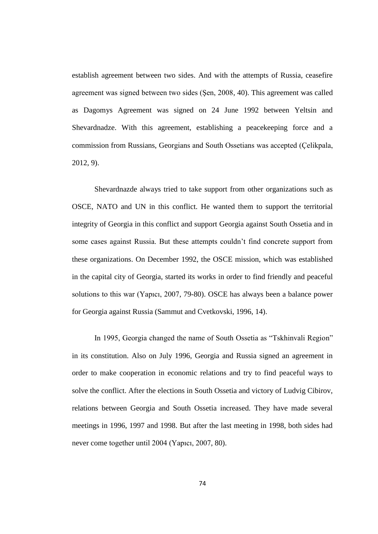establish agreement between two sides. And with the attempts of Russia, ceasefire agreement was signed between two sides (Sen, 2008, 40). This agreement was called as Dagomys Agreement was signed on 24 June 1992 between Yeltsin and Shevardnadze. With this agreement, establishing a peacekeeping force and a commission from Russians, Georgians and South Ossetians was accepted (Çelikpala, 2012, 9).

Shevardnazde always tried to take support from other organizations such as OSCE, NATO and UN in this conflict. He wanted them to support the territorial integrity of Georgia in this conflict and support Georgia against South Ossetia and in some cases against Russia. But these attempts couldn't find concrete support from these organizations. On December 1992, the OSCE mission, which was established in the capital city of Georgia, started its works in order to find friendly and peaceful solutions to this war (Yapıcı, 2007, 79-80). OSCE has always been a balance power for Georgia against Russia (Sammut and Cvetkovski, 1996, 14).

In 1995, Georgia changed the name of South Ossetia as "Tskhinvali Region" in its constitution. Also on July 1996, Georgia and Russia signed an agreement in order to make cooperation in economic relations and try to find peaceful ways to solve the conflict. After the elections in South Ossetia and victory of Ludvig Cibirov, relations between Georgia and South Ossetia increased. They have made several meetings in 1996, 1997 and 1998. But after the last meeting in 1998, both sides had never come together until 2004 (Yapıcı, 2007, 80).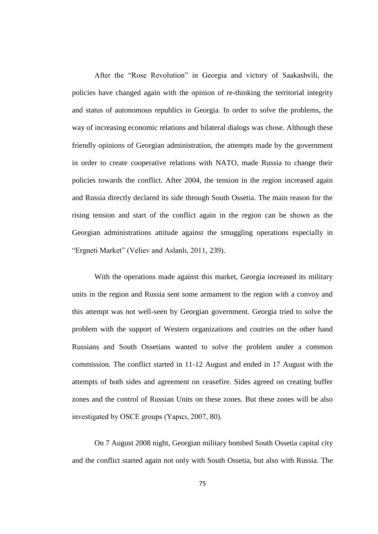After the "Rose Revolution" in Georgia and victory of Saakashvili, the policies have changed again with the opinion of re-thinking the territorial integrity and status of autonomous republics in Georgia. In order to solve the problems, the way of increasing economic relations and bilateral dialogs was chose. Although these friendly opinions of Georgian administration, the attempts made by the government in order to create cooperative relations with NATO, made Russia to change their policies towards the conflict. After 2004, the tension in the region increased again and Russia directly declared its side through South Ossetia. The main reason for the rising tension and start of the conflict again in the region can be shown as the Georgian administrations attitude against the smuggling operations especially in "Ergneti Market" (Veliev and Aslanlı, 2011, 239).

With the operations made against this market, Georgia increased its military units in the region and Russia sent some armament to the region with a convoy and this attempt was not well-seen by Georgian government. Georgia tried to solve the problem with the support of Western organizations and coutries on the other hand Russians and South Ossetians wanted to solve the problem under a common commission. The conflict started in 11-12 August and ended in 17 August with the attempts of both sides and agreement on ceasefire. Sides agreed on creating buffer zones and the control of Russian Units on these zones. But these zones will be also investigated by OSCE groups (Yapıcı, 2007, 80).

On 7 August 2008 night, Georgian military bombed South Ossetia capital city and the conflict started again not only with South Ossetia, but also with Russia. The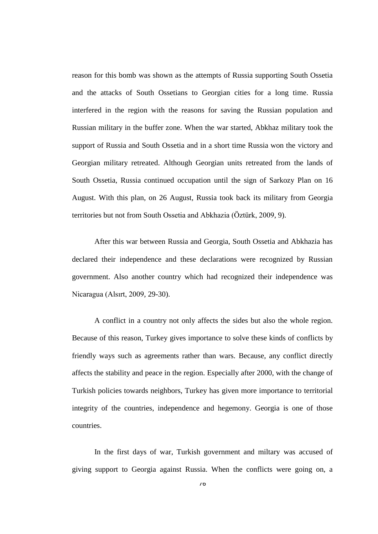reason for this bomb was shown as the attempts of Russia supporting South Ossetia and the attacks of South Ossetians to Georgian cities for a long time. Russia interfered in the region with the reasons for saving the Russian population and Russian military in the buffer zone. When the war started, Abkhaz military took the support of Russia and South Ossetia and in a short time Russia won the victory and Georgian military retreated. Although Georgian units retreated from the lands of South Ossetia, Russia continued occupation until the sign of Sarkozy Plan on 16 August. With this plan, on 26 August, Russia took back its military from Georgia territories but not from South Ossetia and Abkhazia (Öztürk, 2009, 9).

After this war between Russia and Georgia, South Ossetia and Abkhazia has declared their independence and these declarations were recognized by Russian government. Also another country which had recognized their independence was Nicaragua (Alsırt, 2009, 29-30).

A conflict in a country not only affects the sides but also the whole region. Because of this reason, Turkey gives importance to solve these kinds of conflicts by friendly ways such as agreements rather than wars. Because, any conflict directly affects the stability and peace in the region. Especially after 2000, with the change of Turkish policies towards neighbors, Turkey has given more importance to territorial integrity of the countries, independence and hegemony. Georgia is one of those countries.

In the first days of war, Turkish government and miltary was accused of giving support to Georgia against Russia. When the conflicts were going on, a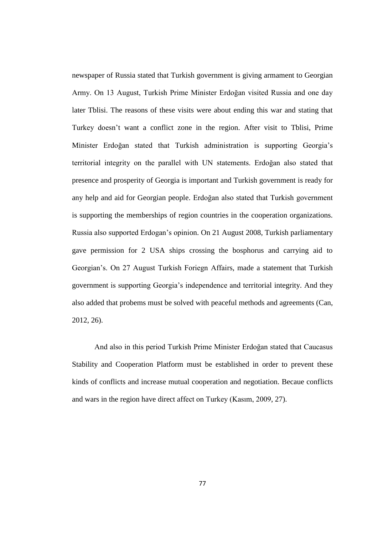newspaper of Russia stated that Turkish government is giving armament to Georgian Army. On 13 August, Turkish Prime Minister Erdoğan visited Russia and one day later Tblisi. The reasons of these visits were about ending this war and stating that Turkey doesn't want a conflict zone in the region. After visit to Tblisi, Prime Minister Erdoğan stated that Turkish administration is supporting Georgia's territorial integrity on the parallel with UN statements. Erdoğan also stated that presence and prosperity of Georgia is important and Turkish government is ready for any help and aid for Georgian people. Erdoğan also stated that Turkish government is supporting the memberships of region countries in the cooperation organizations. Russia also supported Erdogan's opinion. On 21 August 2008, Turkish parliamentary gave permission for 2 USA ships crossing the bosphorus and carrying aid to Georgian's. On 27 August Turkish Foriegn Affairs, made a statement that Turkish government is supporting Georgia's independence and territorial integrity. And they also added that probems must be solved with peaceful methods and agreements (Can, 2012, 26).

And also in this period Turkish Prime Minister Erdoğan stated that Caucasus Stability and Cooperation Platform must be established in order to prevent these kinds of conflicts and increase mutual cooperation and negotiation. Becaue conflicts and wars in the region have direct affect on Turkey (Kasım, 2009, 27).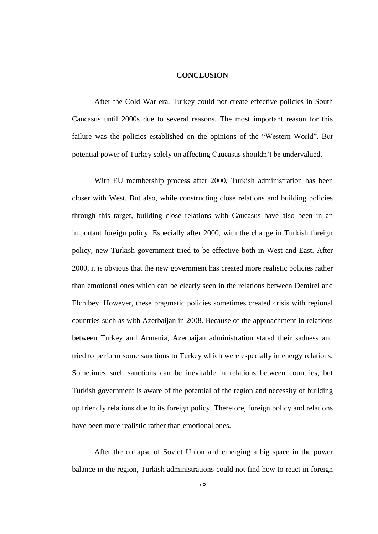# **CONCLUSION**

After the Cold War era, Turkey could not create effective policies in South Caucasus until 2000s due to several reasons. The most important reason for this failure was the policies established on the opinions of the "Western World". But potential power of Turkey solely on affecting Caucasus shouldn't be undervalued.

With EU membership process after 2000, Turkish administration has been closer with West. But also, while constructing close relations and building policies through this target, building close relations with Caucasus have also been in an important foreign policy. Especially after 2000, with the change in Turkish foreign policy, new Turkish government tried to be effective both in West and East. After 2000, it is obvious that the new government has created more realistic policies rather than emotional ones which can be clearly seen in the relations between Demirel and Elchibey. However, these pragmatic policies sometimes created crisis with regional countries such as with Azerbaijan in 2008. Because of the approachment in relations between Turkey and Armenia, Azerbaijan administration stated their sadness and tried to perform some sanctions to Turkey which were especially in energy relations. Sometimes such sanctions can be inevitable in relations between countries, but Turkish government is aware of the potential of the region and necessity of building up friendly relations due to its foreign policy. Therefore, foreign policy and relations have been more realistic rather than emotional ones.

After the collapse of Soviet Union and emerging a big space in the power balance in the region, Turkish administrations could not find how to react in foreign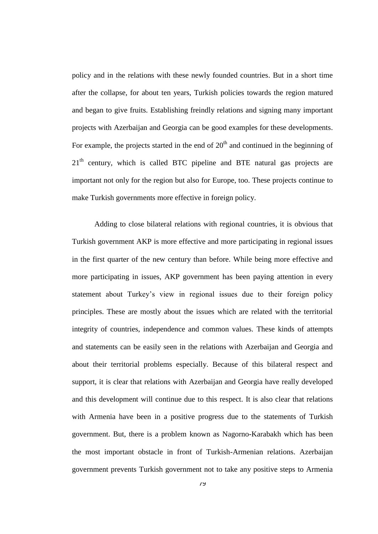policy and in the relations with these newly founded countries. But in a short time after the collapse, for about ten years, Turkish policies towards the region matured and began to give fruits. Establishing freindly relations and signing many important projects with Azerbaijan and Georgia can be good examples for these developments. For example, the projects started in the end of  $20<sup>th</sup>$  and continued in the beginning of  $21<sup>th</sup>$  century, which is called BTC pipeline and BTE natural gas projects are important not only for the region but also for Europe, too. These projects continue to make Turkish governments more effective in foreign policy.

Adding to close bilateral relations with regional countries, it is obvious that Turkish government AKP is more effective and more participating in regional issues in the first quarter of the new century than before. While being more effective and more participating in issues, AKP government has been paying attention in every statement about Turkey's view in regional issues due to their foreign policy principles. These are mostly about the issues which are related with the territorial integrity of countries, independence and common values. These kinds of attempts and statements can be easily seen in the relations with Azerbaijan and Georgia and about their territorial problems especially. Because of this bilateral respect and support, it is clear that relations with Azerbaijan and Georgia have really developed and this development will continue due to this respect. It is also clear that relations with Armenia have been in a positive progress due to the statements of Turkish government. But, there is a problem known as Nagorno-Karabakh which has been the most important obstacle in front of Turkish-Armenian relations. Azerbaijan government prevents Turkish government not to take any positive steps to Armenia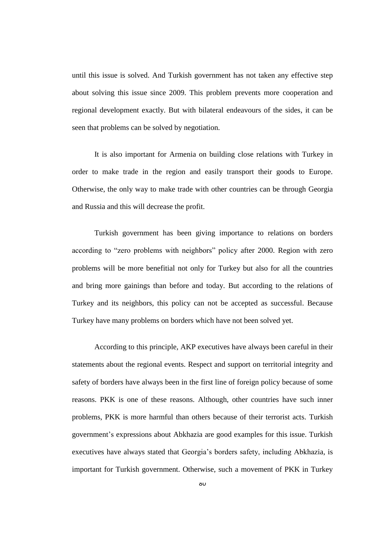until this issue is solved. And Turkish government has not taken any effective step about solving this issue since 2009. This problem prevents more cooperation and regional development exactly. But with bilateral endeavours of the sides, it can be seen that problems can be solved by negotiation.

It is also important for Armenia on building close relations with Turkey in order to make trade in the region and easily transport their goods to Europe. Otherwise, the only way to make trade with other countries can be through Georgia and Russia and this will decrease the profit.

Turkish government has been giving importance to relations on borders according to "zero problems with neighbors" policy after 2000. Region with zero problems will be more benefitial not only for Turkey but also for all the countries and bring more gainings than before and today. But according to the relations of Turkey and its neighbors, this policy can not be accepted as successful. Because Turkey have many problems on borders which have not been solved yet.

According to this principle, AKP executives have always been careful in their statements about the regional events. Respect and support on territorial integrity and safety of borders have always been in the first line of foreign policy because of some reasons. PKK is one of these reasons. Although, other countries have such inner problems, PKK is more harmful than others because of their terrorist acts. Turkish government's expressions about Abkhazia are good examples for this issue. Turkish executives have always stated that Georgia's borders safety, including Abkhazia, is important for Turkish government. Otherwise, such a movement of PKK in Turkey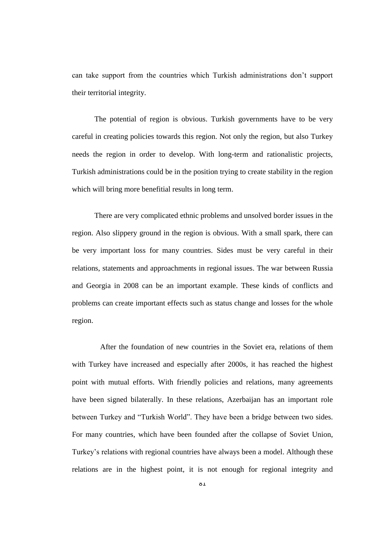can take support from the countries which Turkish administrations don't support their territorial integrity.

The potential of region is obvious. Turkish governments have to be very careful in creating policies towards this region. Not only the region, but also Turkey needs the region in order to develop. With long-term and rationalistic projects, Turkish administrations could be in the position trying to create stability in the region which will bring more benefitial results in long term.

There are very complicated ethnic problems and unsolved border issues in the region. Also slippery ground in the region is obvious. With a small spark, there can be very important loss for many countries. Sides must be very careful in their relations, statements and approachments in regional issues. The war between Russia and Georgia in 2008 can be an important example. These kinds of conflicts and problems can create important effects such as status change and losses for the whole region.

 After the foundation of new countries in the Soviet era, relations of them with Turkey have increased and especially after 2000s, it has reached the highest point with mutual efforts. With friendly policies and relations, many agreements have been signed bilaterally. In these relations, Azerbaijan has an important role between Turkey and "Turkish World". They have been a bridge between two sides. For many countries, which have been founded after the collapse of Soviet Union, Turkey's relations with regional countries have always been a model. Although these relations are in the highest point, it is not enough for regional integrity and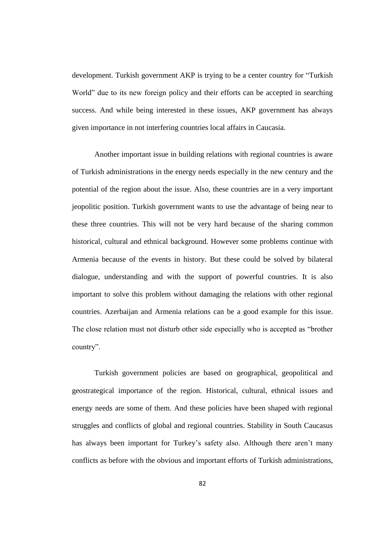development. Turkish government AKP is trying to be a center country for "Turkish World" due to its new foreign policy and their efforts can be accepted in searching success. And while being interested in these issues, AKP government has always given importance in not interfering countries local affairs in Caucasia.

Another important issue in building relations with regional countries is aware of Turkish administrations in the energy needs especially in the new century and the potential of the region about the issue. Also, these countries are in a very important jeopolitic position. Turkish government wants to use the advantage of being near to these three countries. This will not be very hard because of the sharing common historical, cultural and ethnical background. However some problems continue with Armenia because of the events in history. But these could be solved by bilateral dialogue, understanding and with the support of powerful countries. It is also important to solve this problem without damaging the relations with other regional countries. Azerbaijan and Armenia relations can be a good example for this issue. The close relation must not disturb other side especially who is accepted as "brother country".

Turkish government policies are based on geographical, geopolitical and geostrategical importance of the region. Historical, cultural, ethnical issues and energy needs are some of them. And these policies have been shaped with regional struggles and conflicts of global and regional countries. Stability in South Caucasus has always been important for Turkey's safety also. Although there aren't many conflicts as before with the obvious and important efforts of Turkish administrations,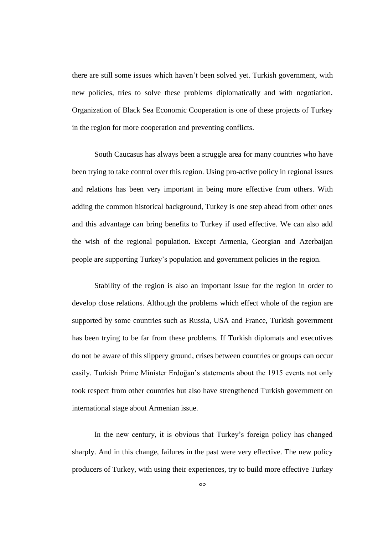there are still some issues which haven't been solved yet. Turkish government, with new policies, tries to solve these problems diplomatically and with negotiation. Organization of Black Sea Economic Cooperation is one of these projects of Turkey in the region for more cooperation and preventing conflicts.

South Caucasus has always been a struggle area for many countries who have been trying to take control over this region. Using pro-active policy in regional issues and relations has been very important in being more effective from others. With adding the common historical background, Turkey is one step ahead from other ones and this advantage can bring benefits to Turkey if used effective. We can also add the wish of the regional population. Except Armenia, Georgian and Azerbaijan people are supporting Turkey's population and government policies in the region.

Stability of the region is also an important issue for the region in order to develop close relations. Although the problems which effect whole of the region are supported by some countries such as Russia, USA and France, Turkish government has been trying to be far from these problems. If Turkish diplomats and executives do not be aware of this slippery ground, crises between countries or groups can occur easily. Turkish Prime Minister Erdoğan's statements about the 1915 events not only took respect from other countries but also have strengthened Turkish government on international stage about Armenian issue.

In the new century, it is obvious that Turkey's foreign policy has changed sharply. And in this change, failures in the past were very effective. The new policy producers of Turkey, with using their experiences, try to build more effective Turkey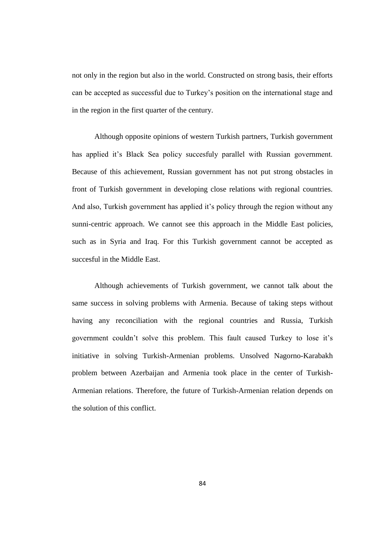not only in the region but also in the world. Constructed on strong basis, their efforts can be accepted as successful due to Turkey's position on the international stage and in the region in the first quarter of the century.

Although opposite opinions of western Turkish partners, Turkish government has applied it's Black Sea policy succesfuly parallel with Russian government. Because of this achievement, Russian government has not put strong obstacles in front of Turkish government in developing close relations with regional countries. And also, Turkish government has applied it's policy through the region without any sunni-centric approach. We cannot see this approach in the Middle East policies, such as in Syria and Iraq. For this Turkish government cannot be accepted as succesful in the Middle East.

Although achievements of Turkish government, we cannot talk about the same success in solving problems with Armenia. Because of taking steps without having any reconciliation with the regional countries and Russia, Turkish government couldn't solve this problem. This fault caused Turkey to lose it's initiative in solving Turkish-Armenian problems. Unsolved Nagorno-Karabakh problem between Azerbaijan and Armenia took place in the center of Turkish-Armenian relations. Therefore, the future of Turkish-Armenian relation depends on the solution of this conflict.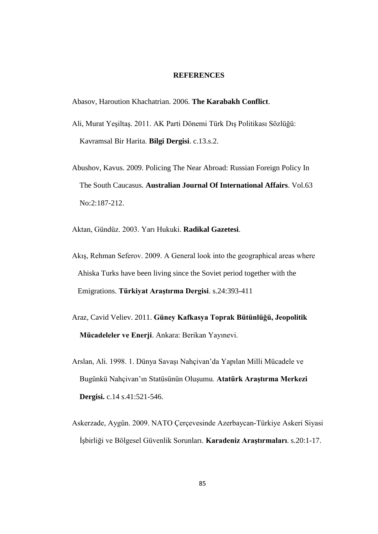### **REFERENCES**

Abasov, Haroution Khachatrian. 2006. **The Karabakh Conflict**.

- Ali, Murat YeĢiltaĢ. 2011. AK Parti Dönemi Türk DıĢ Politikası Sözlüğü: Kavramsal Bir Harita. **Bilgi Dergisi**. c.13.s.2.
- Abushov, Kavus. 2009. Policing The Near Abroad: Russian Foreign Policy In The South Caucasus. **Australian Journal Of International Affairs**. Vol.63 No:2:187-212.
- Aktan, Gündüz. 2003. Yarı Hukuki. **Radikal Gazetesi**.
- Akış, Rehman Seferov. 2009. A General look into the geographical areas where Ahiska Turks have been living since the Soviet period together with the Emigrations. **Türkiyat Araştırma Dergisi**. s.24:393-411
- Araz, Cavid Veliev. 2011. **Güney Kafkasya Toprak Bütünlüğü, Jeopolitik Mücadeleler ve Enerji**. Ankara: Berikan Yayınevi.
- Arslan, Ali. 1998. 1. Dünya SavaĢı Nahçivan'da Yapılan Milli Mücadele ve Bugünkü Nahçivan'ın Statüsünün OluĢumu. **Atatürk Araştırma Merkezi Dergisi.** c.14 s.41:521-546.
- Askerzade, Aygün. 2009. NATO Çerçevesinde Azerbaycan-Türkiye Askeri Siyasi ĠĢbirliği ve Bölgesel Güvenlik Sorunları. **Karadeniz Araştırmaları**. s.20:1-17.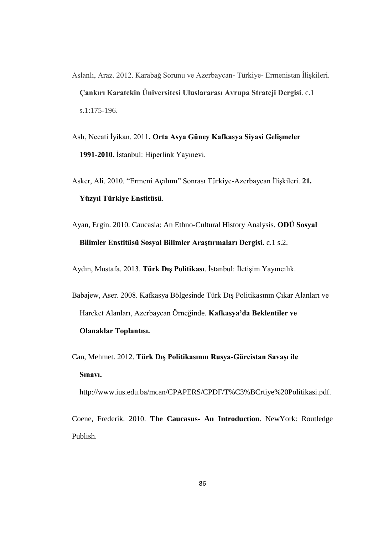- Aslanlı, Araz. 2012. Karabağ Sorunu ve Azerbaycan- Türkiye- Ermenistan İlişkileri. **Çankırı Karatekin Üniversitesi Uluslararası Avrupa Strateji Dergisi**. c.1 s.1:175-196.
- Aslı, Necati İyikan. 2011**. Orta Asya Güney Kafkasya Siyasi Gelismeler** 1991-2010. İstanbul: Hiperlink Yayınevi.
- Asker, Ali. 2010. "Ermeni Açılımı" Sonrası Türkiye-Azerbaycan İlişkileri. 21.  **Yüzyıl Türkiye Enstitüsü**.
- Ayan, Ergin. 2010. Caucasia: An Ethno-Cultural History Analysis. **ODÜ Sosyal Bilimler Enstitüsü Sosyal Bilimler Araştırmaları Dergisi.** c.1 s.2.

Aydın, Mustafa. 2013. Türk Dış Politikası. İstanbul: İletişim Yayıncılık.

Babajew, Aser. 2008. Kafkasya Bölgesinde Türk DıĢ Politikasının Çıkar Alanları ve Hareket Alanları, Azerbaycan Örneğinde. **Kafkasya'da Beklentiler ve Olanaklar Toplantısı.**

Can, Mehmet. 2012. **Türk Dış Politikasının Rusya-Gürcistan Savaşı ile Sınavı.** 

http://www.ius.edu.ba/mcan/CPAPERS/CPDF/T%C3%BCrtiye%20Politikasi.pdf.

Coene, Frederik. 2010. **The Caucasus- An Introduction**. NewYork: Routledge Publish.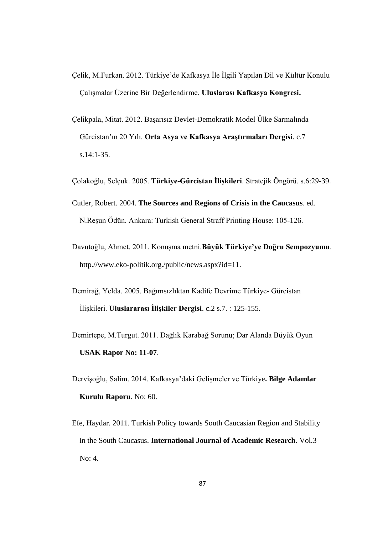- Çelik, M.Furkan. 2012. Türkiye'de Kafkasya İle İlgili Yapılan Dil ve Kültür Konulu ÇalıĢmalar Üzerine Bir Değerlendirme. **Uluslarası Kafkasya Kongresi.**
- Çelikpala, Mitat. 2012. BaĢarısız Devlet-Demokratik Model Ülke Sarmalında Gürcistan'ın 20 Yılı. **Orta Asya ve Kafkasya Araştırmaları Dergisi**. c.7 s.14:1-35.
- Çolakoğlu, Selçuk. 2005. **Türkiye-Gürcistan Ġlişkileri**. Stratejik Öngörü. s.6:29-39.
- Cutler, Robert. 2004. **The Sources and Regions of Crisis in the Caucasus**. ed. N.ReĢun Ödün. Ankara: Turkish General Straff Printing House: 105-126.
- Davutoğlu, Ahmet. 2011. KonuĢma metni.**Büyük Türkiye'ye Doğru Sempozyumu**. http.//www.eko-politik.org./public/news.aspx?id=11.
- Demirağ, Yelda. 2005. Bağımsızlıktan Kadife Devrime Türkiye- Gürcistan İlişkileri. **Uluslararası İlişkiler Dergisi**. c.2 s.7. : 125-155.
- Demirtepe, M.Turgut. 2011. Dağlık Karabağ Sorunu; Dar Alanda Büyük Oyun **USAK Rapor No: 11-07**.
- DerviĢoğlu, Salim. 2014. Kafkasya'daki GeliĢmeler ve Türkiye**. Bilge Adamlar Kurulu Raporu**. No: 60.
- Efe, Haydar. 2011. Turkish Policy towards South Caucasian Region and Stability in the South Caucasus. **International Journal of Academic Research**. Vol.3 No: 4.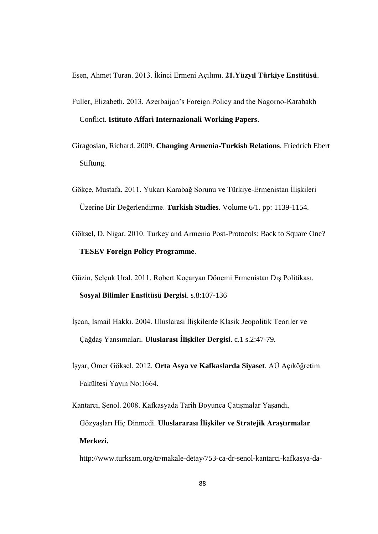Esen, Ahmet Turan. 2013. Ġkinci Ermeni Açılımı. **21.Yüzyıl Türkiye Enstitüsü**.

- Fuller, Elizabeth. 2013. Azerbaijan's Foreign Policy and the Nagorno-Karabakh Conflict. **Istituto Affari Internazionali Working Papers**.
- Giragosian, Richard. 2009. **Changing Armenia-Turkish Relations**. Friedrich Ebert Stiftung.
- Gökçe, Mustafa. 2011. Yukarı Karabağ Sorunu ve Türkiye-Ermenistan İlişkileri Üzerine Bir Değerlendirme. **Turkish Studies**. Volume 6/1. pp: 1139-1154.
- Göksel, D. Nigar. 2010. Turkey and Armenia Post-Protocols: Back to Square One? **TESEV Foreign Policy Programme**.
- Güzin, Selçuk Ural. 2011. Robert Koçaryan Dönemi Ermenistan DıĢ Politikası. **Sosyal Bilimler Enstitüsü Dergisi**. s.8:107-136
- İşcan, İsmail Hakkı. 2004. Uluslarası İlişkilerde Klasik Jeopolitik Teoriler ve ÇağdaĢ Yansımaları. **Uluslarası Ġlişkiler Dergisi**. c.1 s.2:47-79.
- ĠĢyar, Ömer Göksel. 2012. **Orta Asya ve Kafkaslarda Siyaset**. AÜ Açıköğretim Fakültesi Yayın No:1664.
- Kantarcı, Şenol. 2008. Kafkasyada Tarih Boyunca Çatışmalar Yaşandı, Gözyaşları Hiç Dinmedi. Uluslararası İlişkiler ve Stratejik Araştırmalar  **Merkezi.**

<http://www.turksam.org/tr/makale-detay/753-ca-dr-senol-kantarci-kafkasya-da->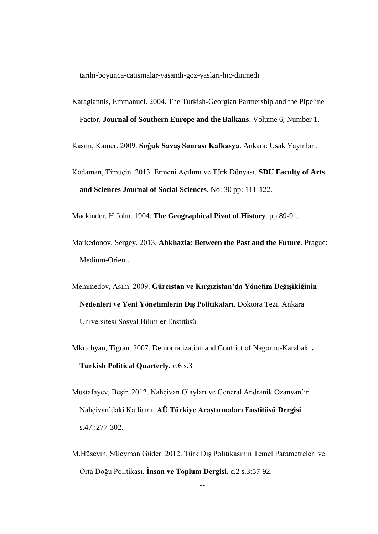tarihi-boyunca-catismalar-yasandi-goz-yaslari-hic-dinmedi

Karagiannis, Emmanuel. 2004. The Turkish-Georgian Partnership and the Pipeline Factor. **Journal of Southern Europe and the Balkans**. Volume 6, Number 1.

Kasım, Kamer. 2009. **Soğuk Savaş Sonrası Kafkasya**. Ankara: Usak Yayınları.

Kodaman, Timuçin. 2013. Ermeni Açılımı ve Türk Dünyası. **SDU Faculty of Arts and Sciences Journal of Social Sciences**. No: 30 pp: 111-122.

Mackinder, H.John. 1904. **The Geographical Pivot of History**. pp:89-91.

- Markedonov, Sergey. 2013. **Abkhazia: Between the Past and the Future**. Prague: Medium-Orient.
- Memmedov, Asım. 2009. **Gürcistan ve Kırgızistan'da Yönetim Değişikiğinin Nedenleri ve Yeni Yönetimlerin Dış Politikaları**. Doktora Tezi. Ankara Üniversitesi Sosyal Bilimler Enstitüsü.
- Mkrtchyan, Tigran. 2007. Democratization and Conflict of Nagorno-Karabakh**. Turkish Political Quarterly.** c.6 s.3
- Mustafayev, BeĢir. 2012. Nahçivan Olayları ve General Andranik Ozanyan'ın Nahçivan'daki Katliamı. **AÜ Türkiye Araştırmaları Enstitüsü Dergisi**. s.47.:277-302.
- M.Hüseyin, Süleyman Güder. 2012. Türk DıĢ Politikasının Temel Parametreleri ve Orta Doğu Politikası. **Ġnsan ve Toplum Dergisi.** c.2 s.3:57-92.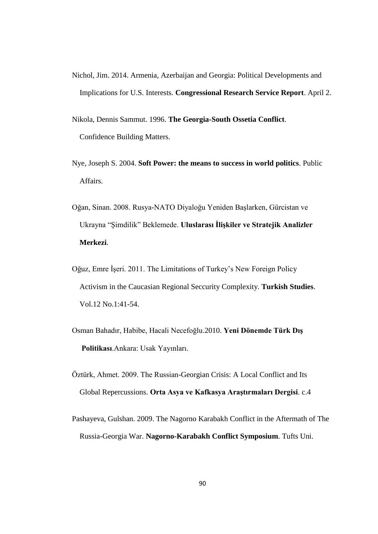- Nichol, Jim. 2014. Armenia, Azerbaijan and Georgia: Political Developments and Implications for U.S. Interests. **Congressional Research Service Report**. April 2.
- Nikola, Dennis Sammut. 1996. **The Georgia-South Ossetia Conflict**. Confidence Building Matters.
- Nye, Joseph S. 2004. **Soft Power: the means to success in world politics**. Public Affairs.
- Oğan, Sinan. 2008. Rusya-NATO Diyaloğu Yeniden BaĢlarken, Gürcistan ve Ukrayna "Şimdilik" Beklemede. **Uluslarası İlişkiler ve Stratejik Analizler Merkezi**.
- Oğuz, Emre İşeri. 2011. The Limitations of Turkey's New Foreign Policy Activism in the Caucasian Regional Seccurity Complexity. **Turkish Studies**. Vol.12 No.1:41-54.
- Osman Bahadır, Habibe, Hacali Necefoğlu.2010. **Yeni Dönemde Türk Dış Politikası**.Ankara: Usak Yayınları.
- Öztürk, Ahmet. 2009. The Russian-Georgian Crisis: A Local Conflict and Its Global Repercussions. **Orta Asya ve Kafkasya Araştırmaları Dergisi**. c.4
- Pashayeva, Gulshan. 2009. The Nagorno Karabakh Conflict in the Aftermath of The Russia-Georgia War. **Nagorno-Karabakh Conflict Symposium**. Tufts Uni.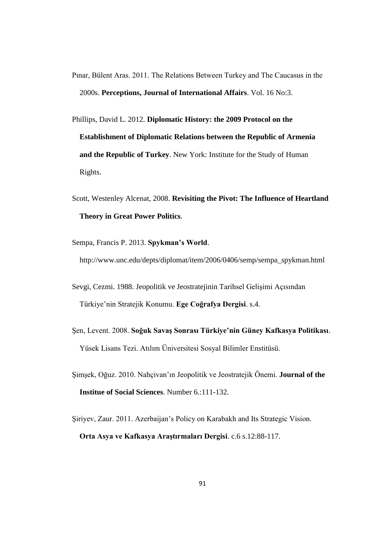- Pınar, Bülent Aras. 2011. The Relations Between Turkey and The Caucasus in the 2000s. **Perceptions, Journal of International Affairs**. Vol. 16 No:3.
- Phillips, David L. 2012. **Diplomatic History: the 2009 Protocol on the Establishment of Diplomatic Relations between the Republic of Armenia and the Republic of Turkey**. New York: Institute for the Study of Human Rights.
- Scott, Westenley Alcenat, 2008. **Revisiting the Pivot: The Influence of Heartland Theory in Great Power Politics**.
- Sempa, Francis P. 2013. **Spykman's World**.

[http://www.unc.edu/depts/diplomat/item/2006/0406/semp/sempa\\_spykman.html](http://www.unc.edu/depts/diplomat/item/2006/0406/semp/sempa_spykman.html)

- Sevgi, Cezmi. 1988. Jeopolitik ve Jeostratejinin Tarihsel Gelişimi Açısından Türkiye'nin Stratejik Konumu. **Ege Coğrafya Dergisi**. s.4.
- ġen, Levent. 2008. **Soğuk Savaş Sonrası Türkiye'nin Güney Kafkasya Politikası**. Yüsek Lisans Tezi. Atılım Üniversitesi Sosyal Bilimler Enstitüsü.
- ġimĢek, Oğuz. 2010. Nahçivan'ın Jeopolitik ve Jeostratejik Önemi. **Journal of the Institue of Social Sciences**. Number 6.:111-132.
- Şiriyev, Zaur. 2011. Azerbaijan's Policy on Karabakh and Its Strategic Vision. **Orta Asya ve Kafkasya Araştırmaları Dergisi**. c.6 s.12:88-117.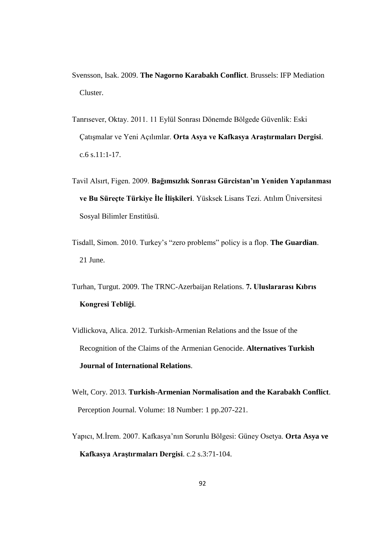- Svensson, Isak. 2009. **The Nagorno Karabakh Conflict**. Brussels: IFP Mediation Cluster.
- Tanrısever, Oktay. 2011. 11 Eylül Sonrası Dönemde Bölgede Güvenlik: Eski ÇatıĢmalar ve Yeni Açılımlar. **Orta Asya ve Kafkasya Araştırmaları Dergisi**. c.6 s.11:1-17.
- Tavil Alsırt, Figen. 2009. **Bağımsızlık Sonrası Gürcistan'ın Yeniden Yapılanması**  ve Bu Süreçte Türkiye İle İlişkileri. Yüsksek Lisans Tezi. Atılım Üniversitesi Sosyal Bilimler Enstitüsü.
- Tisdall, Simon. 2010. Turkey's "zero problems" policy is a flop. **The Guardian**. 21 June.
- Turhan, Turgut. 2009. The TRNC-Azerbaijan Relations. **7. Uluslararası Kıbrıs Kongresi Tebliği**.
- Vidlickova, Alica. 2012. Turkish-Armenian Relations and the Issue of the Recognition of the Claims of the Armenian Genocide. **Alternatives Turkish Journal of International Relations**.
- Welt, Cory. 2013. **Turkish-Armenian Normalisation and the Karabakh Conflict**. Perception Journal. Volume: 18 Number: 1 pp.207-221.
- Yapıcı, M.İrem. 2007. Kafkasya'nın Sorunlu Bölgesi: Güney Osetya. Orta Asya ve  **Kafkasya Araştırmaları Dergisi**. c.2 s.3:71-104.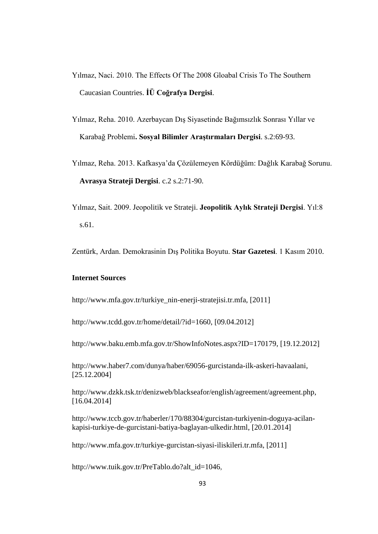- Yılmaz, Naci. 2010. The Effects Of The 2008 Gloabal Crisis To The Southern Caucasian Countries. **ĠÜ Coğrafya Dergisi**.
- Yılmaz, Reha. 2010. Azerbaycan DıĢ Siyasetinde Bağımsızlık Sonrası Yıllar ve Karabağ Problemi**. Sosyal Bilimler Araştırmaları Dergisi**. s.2:69-93.
- Yılmaz, Reha. 2013. Kafkasya'da Çözülemeyen Kördüğüm: Dağlık Karabağ Sorunu. **Avrasya Strateji Dergisi**. c.2 s.2:71-90.
- Yılmaz, Sait. 2009. Jeopolitik ve Strateji. **Jeopolitik Aylık Strateji Dergisi**. Yıl:8 s.61.

Zentürk, Ardan. Demokrasinin DıĢ Politika Boyutu. **Star Gazetesi**. 1 Kasım 2010.

### **Internet Sources**

[http://www.mfa.gov.tr/turkiye\\_nin-enerji-stratejisi.tr.mfa,](http://www.mfa.gov.tr/turkiye_nin-enerji-stratejisi.tr.mfa) [2011]

[http://www.tcdd.gov.tr/home/detail/?id=1660,](http://www.tcdd.gov.tr/home/detail/?id=1660) [09.04.2012]

[http://www.baku.emb.mfa.gov.tr/ShowInfoNotes.aspx?ID=170179,](http://www.baku.emb.mfa.gov.tr/ShowInfoNotes.aspx?ID=170179) [19.12.2012]

[http://www.haber7.com/dunya/haber/69056-gurcistanda-ilk-askeri-havaalani,](http://www.haber7.com/dunya/haber/69056-gurcistanda-ilk-askeri-havaalani) [25.12.2004]

http://www.dzkk.tsk.tr/denizweb/blackseafor/english/agreement/agreement.php, [16.04.2014]

[http://www.tccb.gov.tr/haberler/170/88304/gurcistan-turkiyenin-doguya-acilan](http://www.tccb.gov.tr/haberler/170/88304/gurcistan-turkiyenin-doguya-acilan-kapisi-turkiye-de-gurcistani-batiya-baglayan-ulkedir.html)[kapisi-turkiye-de-gurcistani-batiya-baglayan-ulkedir.html,](http://www.tccb.gov.tr/haberler/170/88304/gurcistan-turkiyenin-doguya-acilan-kapisi-turkiye-de-gurcistani-batiya-baglayan-ulkedir.html) [20.01.2014]

[http://www.mfa.gov.tr/turkiye-gurcistan-siyasi-iliskileri.tr.mfa,](http://www.mfa.gov.tr/turkiye-gurcistan-siyasi-iliskileri.tr.mfa) [2011]

[http://www.tuik.gov.tr/PreTablo.do?alt\\_id=1046,](http://www.tuik.gov.tr/PreTablo.do?alt_id=1046)